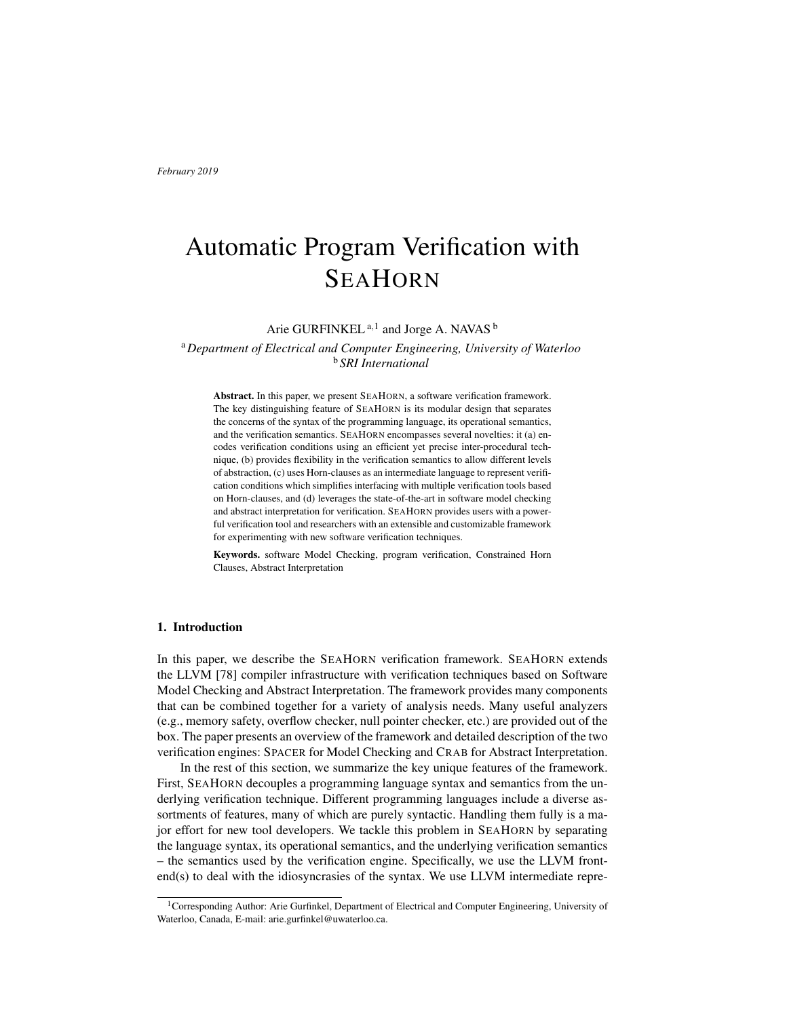# Automatic Program Verification with **SEAHORN**

Arie GURFINKEL <sup>a, 1</sup> and Jorge A. NAVAS <sup>b</sup>

<sup>a</sup>*Department of Electrical and Computer Engineering, University of Waterloo* <sup>b</sup> *SRI International*

Abstract. In this paper, we present SEAHORN, a software verification framework. The key distinguishing feature of SEAHORN is its modular design that separates the concerns of the syntax of the programming language, its operational semantics, and the verification semantics. SEAHORN encompasses several novelties: it (a) encodes verification conditions using an efficient yet precise inter-procedural technique, (b) provides flexibility in the verification semantics to allow different levels of abstraction, (c) uses Horn-clauses as an intermediate language to represent verification conditions which simplifies interfacing with multiple verification tools based on Horn-clauses, and (d) leverages the state-of-the-art in software model checking and abstract interpretation for verification. SEAHORN provides users with a powerful verification tool and researchers with an extensible and customizable framework for experimenting with new software verification techniques.

Keywords. software Model Checking, program verification, Constrained Horn Clauses, Abstract Interpretation

# 1. Introduction

In this paper, we describe the SEAHORN verification framework. SEAHORN extends the LLVM [78] compiler infrastructure with verification techniques based on Software Model Checking and Abstract Interpretation. The framework provides many components that can be combined together for a variety of analysis needs. Many useful analyzers (e.g., memory safety, overflow checker, null pointer checker, etc.) are provided out of the box. The paper presents an overview of the framework and detailed description of the two verification engines: SPACER for Model Checking and CRAB for Abstract Interpretation.

In the rest of this section, we summarize the key unique features of the framework. First, SEAHORN decouples a programming language syntax and semantics from the underlying verification technique. Different programming languages include a diverse assortments of features, many of which are purely syntactic. Handling them fully is a major effort for new tool developers. We tackle this problem in SEAHORN by separating the language syntax, its operational semantics, and the underlying verification semantics – the semantics used by the verification engine. Specifically, we use the LLVM frontend(s) to deal with the idiosyncrasies of the syntax. We use LLVM intermediate repre-

<sup>1</sup>Corresponding Author: Arie Gurfinkel, Department of Electrical and Computer Engineering, University of Waterloo, Canada, E-mail: arie.gurfinkel@uwaterloo.ca.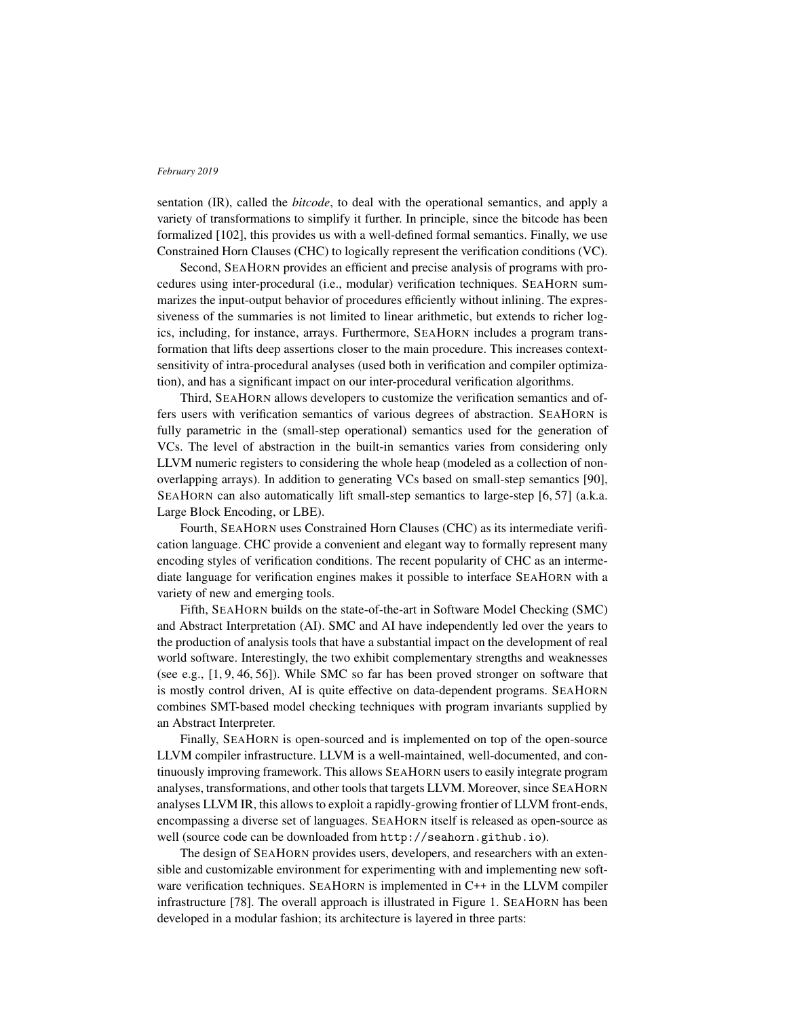sentation (IR), called the *bitcode*, to deal with the operational semantics, and apply a variety of transformations to simplify it further. In principle, since the bitcode has been formalized [102], this provides us with a well-defined formal semantics. Finally, we use Constrained Horn Clauses (CHC) to logically represent the verification conditions (VC).

Second, SEAHORN provides an efficient and precise analysis of programs with procedures using inter-procedural (i.e., modular) verification techniques. SEAHORN summarizes the input-output behavior of procedures efficiently without inlining. The expressiveness of the summaries is not limited to linear arithmetic, but extends to richer logics, including, for instance, arrays. Furthermore, SEAHORN includes a program transformation that lifts deep assertions closer to the main procedure. This increases contextsensitivity of intra-procedural analyses (used both in verification and compiler optimization), and has a significant impact on our inter-procedural verification algorithms.

Third, SEAHORN allows developers to customize the verification semantics and offers users with verification semantics of various degrees of abstraction. SEAHORN is fully parametric in the (small-step operational) semantics used for the generation of VCs. The level of abstraction in the built-in semantics varies from considering only LLVM numeric registers to considering the whole heap (modeled as a collection of nonoverlapping arrays). In addition to generating VCs based on small-step semantics [90], SEAHORN can also automatically lift small-step semantics to large-step [6, 57] (a.k.a. Large Block Encoding, or LBE).

Fourth, SEAHORN uses Constrained Horn Clauses (CHC) as its intermediate verification language. CHC provide a convenient and elegant way to formally represent many encoding styles of verification conditions. The recent popularity of CHC as an intermediate language for verification engines makes it possible to interface SEAHORN with a variety of new and emerging tools.

Fifth, SEAHORN builds on the state-of-the-art in Software Model Checking (SMC) and Abstract Interpretation (AI). SMC and AI have independently led over the years to the production of analysis tools that have a substantial impact on the development of real world software. Interestingly, the two exhibit complementary strengths and weaknesses (see e.g., [1, 9, 46, 56]). While SMC so far has been proved stronger on software that is mostly control driven, AI is quite effective on data-dependent programs. SEAHORN combines SMT-based model checking techniques with program invariants supplied by an Abstract Interpreter.

Finally, SEAHORN is open-sourced and is implemented on top of the open-source LLVM compiler infrastructure. LLVM is a well-maintained, well-documented, and continuously improving framework. This allows SEAHORN users to easily integrate program analyses, transformations, and other tools that targets LLVM. Moreover, since SEAHORN analyses LLVM IR, this allows to exploit a rapidly-growing frontier of LLVM front-ends, encompassing a diverse set of languages. SEAHORN itself is released as open-source as well (source code can be downloaded from http://seahorn.github.io).

The design of SEAHORN provides users, developers, and researchers with an extensible and customizable environment for experimenting with and implementing new software verification techniques. SEAHORN is implemented in C++ in the LLVM compiler infrastructure [78]. The overall approach is illustrated in Figure 1. SEAHORN has been developed in a modular fashion; its architecture is layered in three parts: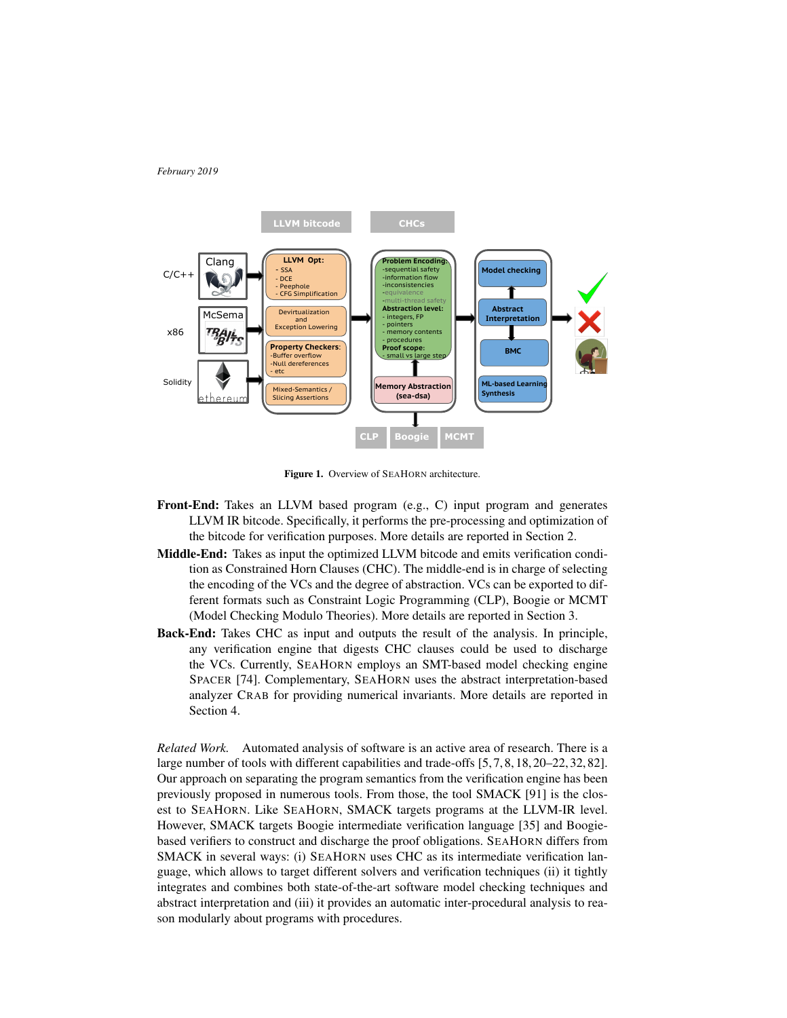

Figure 1. Overview of SEAHORN architecture.

- Front-End: Takes an LLVM based program (e.g., C) input program and generates LLVM IR bitcode. Specifically, it performs the pre-processing and optimization of the bitcode for verification purposes. More details are reported in Section 2.
- Middle-End: Takes as input the optimized LLVM bitcode and emits verification condition as Constrained Horn Clauses (CHC). The middle-end is in charge of selecting the encoding of the VCs and the degree of abstraction. VCs can be exported to different formats such as Constraint Logic Programming (CLP), Boogie or MCMT (Model Checking Modulo Theories). More details are reported in Section 3.
- Back-End: Takes CHC as input and outputs the result of the analysis. In principle, any verification engine that digests CHC clauses could be used to discharge the VCs. Currently, SEAHORN employs an SMT-based model checking engine SPACER [74]. Complementary, SEAHORN uses the abstract interpretation-based analyzer CRAB for providing numerical invariants. More details are reported in Section 4.

*Related Work.* Automated analysis of software is an active area of research. There is a large number of tools with different capabilities and trade-offs [5, 7, 8, 18, 20–22, 32, 82]. Our approach on separating the program semantics from the verification engine has been previously proposed in numerous tools. From those, the tool SMACK [91] is the closest to SEAHORN. Like SEAHORN, SMACK targets programs at the LLVM-IR level. However, SMACK targets Boogie intermediate verification language [35] and Boogiebased verifiers to construct and discharge the proof obligations. SEAHORN differs from SMACK in several ways: (i) SEAHORN uses CHC as its intermediate verification language, which allows to target different solvers and verification techniques (ii) it tightly integrates and combines both state-of-the-art software model checking techniques and abstract interpretation and (iii) it provides an automatic inter-procedural analysis to reason modularly about programs with procedures.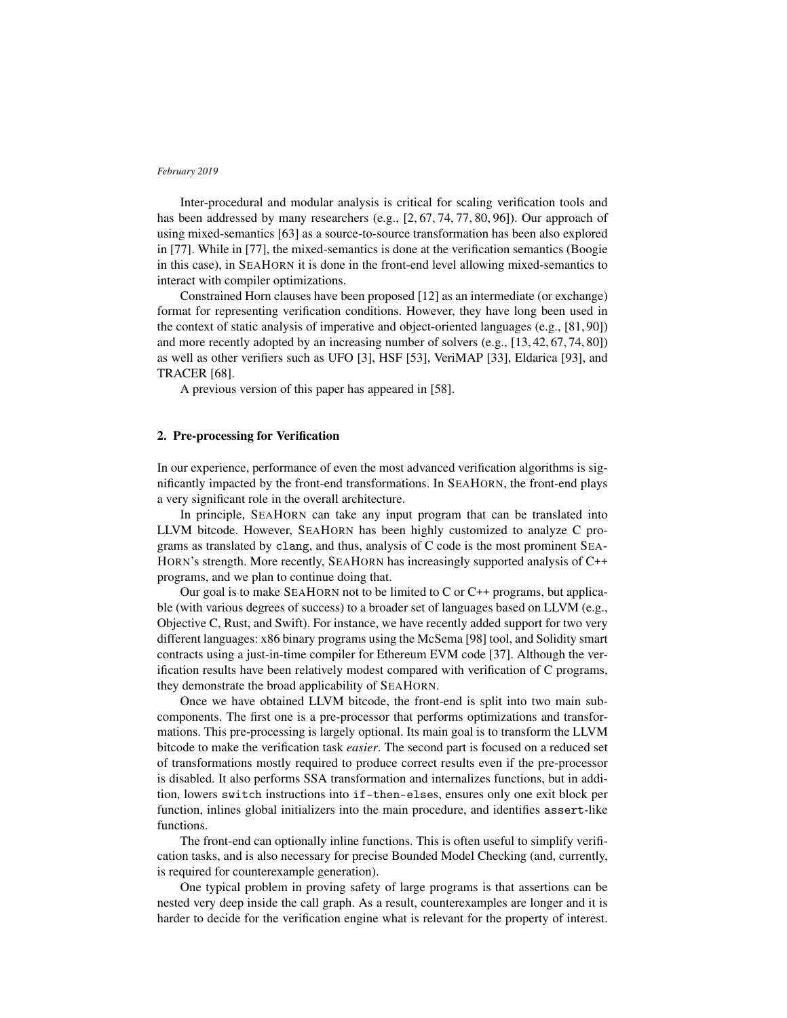Inter-procedural and modular analysis is critical for scaling verification tools and has been addressed by many researchers (e.g., [2, 67, 74, 77, 80, 96]). Our approach of using mixed-semantics [63] as a source-to-source transformation has been also explored in [77]. While in [77], the mixed-semantics is done at the verification semantics (Boogie in this case), in SEAHORN it is done in the front-end level allowing mixed-semantics to interact with compiler optimizations.

Constrained Horn clauses have been proposed [12] as an intermediate (or exchange) format for representing verification conditions. However, they have long been used in the context of static analysis of imperative and object-oriented languages (e.g., [81, 90]) and more recently adopted by an increasing number of solvers (e.g., [13, 42, 67, 74, 80]) as well as other verifiers such as UFO [3], HSF [53], VeriMAP [33], Eldarica [93], and TRACER [68].

A previous version of this paper has appeared in [58].

# 2. Pre-processing for Verification

In our experience, performance of even the most advanced verification algorithms is significantly impacted by the front-end transformations. In SEAHORN, the front-end plays a very significant role in the overall architecture.

In principle, SEAHORN can take any input program that can be translated into LLVM bitcode. However, SEAHORN has been highly customized to analyze C programs as translated by clang, and thus, analysis of C code is the most prominent SEA-HORN's strength. More recently, SEAHORN has increasingly supported analysis of C++ programs, and we plan to continue doing that.

Our goal is to make SEAHORN not to be limited to C or C++ programs, but applicable (with various degrees of success) to a broader set of languages based on LLVM (e.g., Objective C, Rust, and Swift). For instance, we have recently added support for two very different languages: x86 binary programs using the McSema [98] tool, and Solidity smart contracts using a just-in-time compiler for Ethereum EVM code [37]. Although the verification results have been relatively modest compared with verification of C programs, they demonstrate the broad applicability of SEAHORN.

Once we have obtained LLVM bitcode, the front-end is split into two main subcomponents. The first one is a pre-processor that performs optimizations and transformations. This pre-processing is largely optional. Its main goal is to transform the LLVM bitcode to make the verification task *easier*. The second part is focused on a reduced set of transformations mostly required to produce correct results even if the pre-processor is disabled. It also performs SSA transformation and internalizes functions, but in addition, lowers switch instructions into if-then-elses, ensures only one exit block per function, inlines global initializers into the main procedure, and identifies assert-like functions.

The front-end can optionally inline functions. This is often useful to simplify verification tasks, and is also necessary for precise Bounded Model Checking (and, currently, is required for counterexample generation).

One typical problem in proving safety of large programs is that assertions can be nested very deep inside the call graph. As a result, counterexamples are longer and it is harder to decide for the verification engine what is relevant for the property of interest.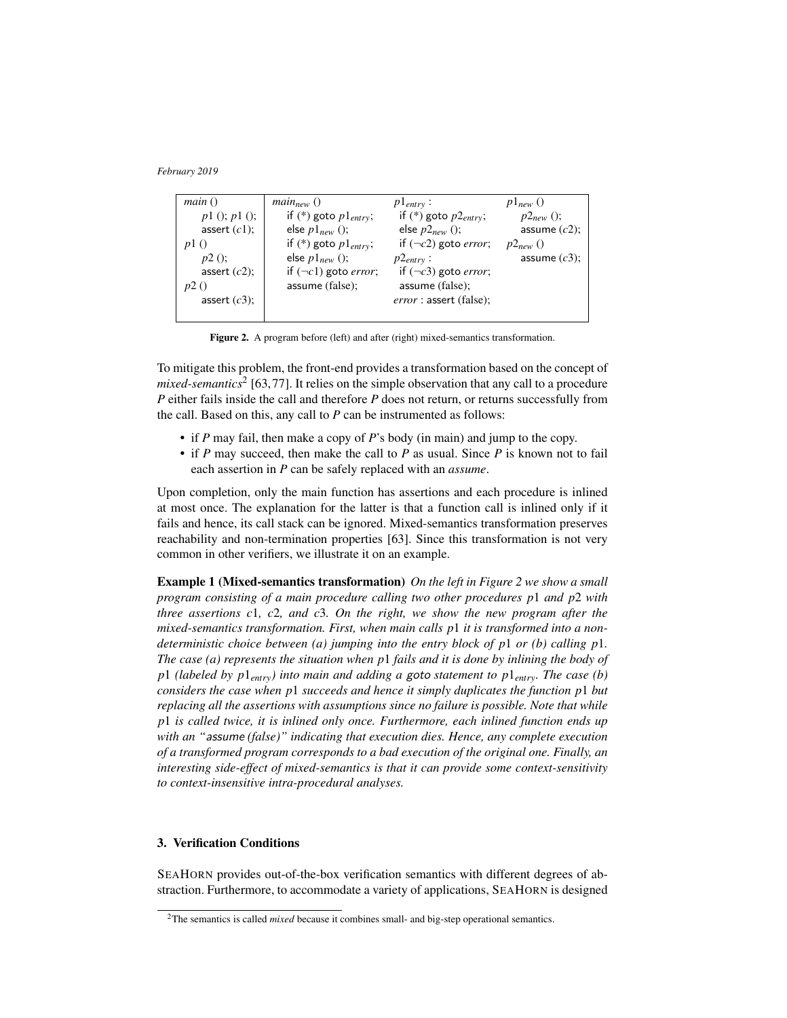| main()            | $main_{new}()$                     | $p1_{entry}$ :                     | $p_{\text{1new}}$ () |
|-------------------|------------------------------------|------------------------------------|----------------------|
| $p1$ (); $p1$ (); | if $(*)$ goto $p1_{entry}$ ;       | if $(*)$ goto $p2_{entry}$ ;       | $p2_{new}$ ();       |
| assert $(c1)$ ;   | else $p1_{new}$ ();                | else $p2_{new}$ ();                | assume $(c2)$ ;      |
| $p$ ()            | if $(*)$ goto $p1_{entry}$ ;       | if $(\neg c2)$ goto <i>error</i> ; | $p2_{new}$ ()        |
| $p2()$ ;          | else $p1_{new}$ ();                | $p2_{entry}$ :                     | assume $(c3)$ :      |
| assert $(c2)$ ;   | if $(\neg c1)$ goto <i>error</i> ; | if $(\neg c3)$ goto error;         |                      |
|                   | assume (false);                    | assume (false);                    |                      |
| assert $(c3)$ ;   |                                    | error: assert (false);             |                      |
|                   |                                    |                                    |                      |

Figure 2. A program before (left) and after (right) mixed-semantics transformation.

To mitigate this problem, the front-end provides a transformation based on the concept of mixed-semantics<sup>2</sup> [63,77]. It relies on the simple observation that any call to a procedure *P* either fails inside the call and therefore *P* does not return, or returns successfully from the call. Based on this, any call to *P* can be instrumented as follows:

- if *P* may fail, then make a copy of *P*'s body (in main) and jump to the copy.
- if *P* may succeed, then make the call to *P* as usual. Since *P* is known not to fail each assertion in *P* can be safely replaced with an *assume*.

Upon completion, only the main function has assertions and each procedure is inlined at most once. The explanation for the latter is that a function call is inlined only if it fails and hence, its call stack can be ignored. Mixed-semantics transformation preserves reachability and non-termination properties [63]. Since this transformation is not very common in other verifiers, we illustrate it on an example.

Example 1 (Mixed-semantics transformation) *On the left in Figure 2 we show a small program consisting of a main procedure calling two other procedures p*1 *and p*2 *with three assertions c*1*, c*2*, and c*3*. On the right, we show the new program after the mixed-semantics transformation. First, when main calls p*1 *it is transformed into a nondeterministic choice between (a) jumping into the entry block of p*1 *or (b) calling p*1*. The case (a) represents the situation when p*1 *fails and it is done by inlining the body of p*1 *(labeled by p*1*entry) into main and adding a* goto *statement to p*1*entry. The case (b) considers the case when p*1 *succeeds and hence it simply duplicates the function p*1 *but replacing all the assertions with assumptions since no failure is possible. Note that while p*1 *is called twice, it is inlined only once. Furthermore, each inlined function ends up with an "*assume *(false)" indicating that execution dies. Hence, any complete execution of a transformed program corresponds to a bad execution of the original one. Finally, an interesting side-effect of mixed-semantics is that it can provide some context-sensitivity to context-insensitive intra-procedural analyses.*

# 3. Verification Conditions

SEAHORN provides out-of-the-box verification semantics with different degrees of abstraction. Furthermore, to accommodate a variety of applications, SEAHORN is designed

<sup>&</sup>lt;sup>2</sup>The semantics is called *mixed* because it combines small- and big-step operational semantics.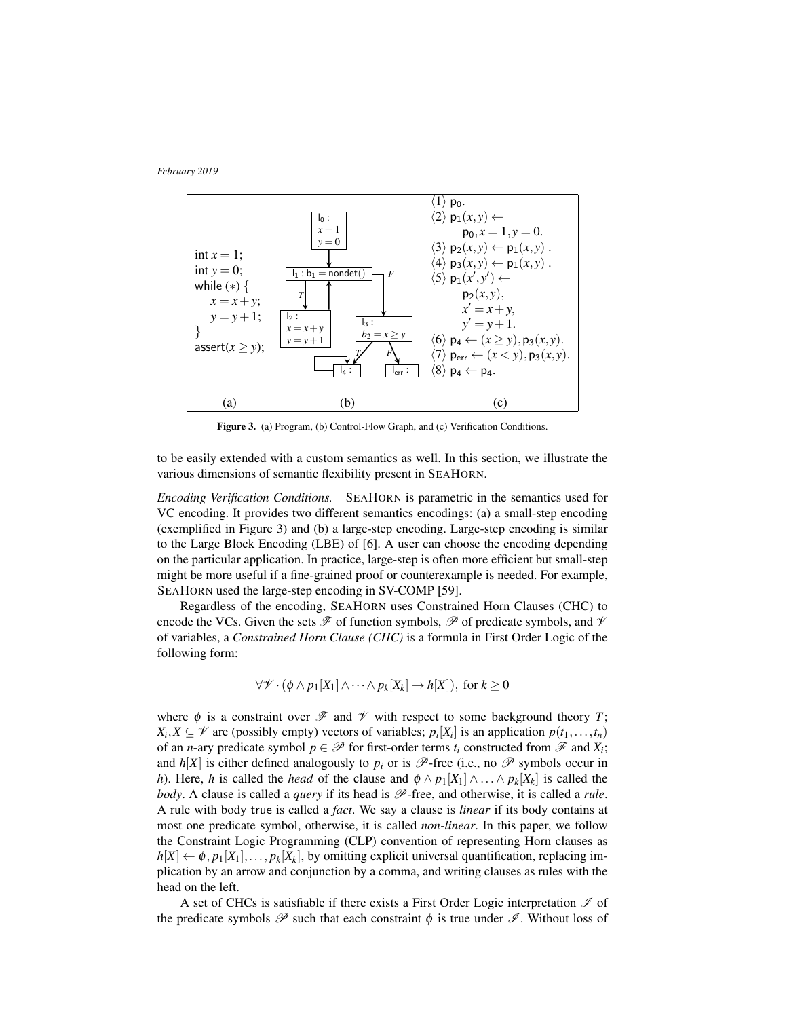*February 2019*



Figure 3. (a) Program, (b) Control-Flow Graph, and (c) Verification Conditions.

to be easily extended with a custom semantics as well. In this section, we illustrate the various dimensions of semantic flexibility present in SEAHORN.

*Encoding Verification Conditions.* SEAHORN is parametric in the semantics used for VC encoding. It provides two different semantics encodings: (a) a small-step encoding (exemplified in Figure 3) and (b) a large-step encoding. Large-step encoding is similar to the Large Block Encoding (LBE) of [6]. A user can choose the encoding depending on the particular application. In practice, large-step is often more efficient but small-step might be more useful if a fine-grained proof or counterexample is needed. For example, SEAHORN used the large-step encoding in SV-COMP [59].

Regardless of the encoding, SEAHORN uses Constrained Horn Clauses (CHC) to encode the VCs. Given the sets  $\mathscr F$  of function symbols,  $\mathscr P$  of predicate symbols, and  $\mathscr V$ of variables, a *Constrained Horn Clause (CHC)* is a formula in First Order Logic of the following form:

$$
\forall \mathscr{V} \cdot (\phi \wedge p_1[X_1] \wedge \cdots \wedge p_k[X_k] \rightarrow h[X]), \text{ for } k \geq 0
$$

where  $\phi$  is a constraint over  $\mathscr F$  and  $\mathscr V$  with respect to some background theory *T*;  $X_i, X \subseteq \mathcal{V}$  are (possibly empty) vectors of variables;  $p_i[X_i]$  is an application  $p(t_1, \ldots, t_n)$ of an *n*-ary predicate symbol  $p \in \mathcal{P}$  for first-order terms  $t_i$  constructed from  $\mathcal{F}$  and  $X_i$ ; and  $h[X]$  is either defined analogously to  $p_i$  or is  $\mathscr{P}$ -free (i.e., no  $\mathscr{P}$  symbols occur in *h*). Here, *h* is called the *head* of the clause and  $\phi \wedge p_1[X_1] \wedge \ldots \wedge p_k[X_k]$  is called the *body*. A clause is called a *query* if its head is  $\mathcal{P}$ -free, and otherwise, it is called a *rule*. A rule with body true is called a *fact*. We say a clause is *linear* if its body contains at most one predicate symbol, otherwise, it is called *non-linear*. In this paper, we follow the Constraint Logic Programming (CLP) convention of representing Horn clauses as  $h[X] \leftarrow \phi, p_1[X_1], \ldots, p_k[X_k]$ , by omitting explicit universal quantification, replacing implication by an arrow and conjunction by a comma, and writing clauses as rules with the head on the left.

A set of CHCs is satisfiable if there exists a First Order Logic interpretation  $\mathscr I$  of the predicate symbols  $\mathscr P$  such that each constraint  $\phi$  is true under  $\mathscr I$ . Without loss of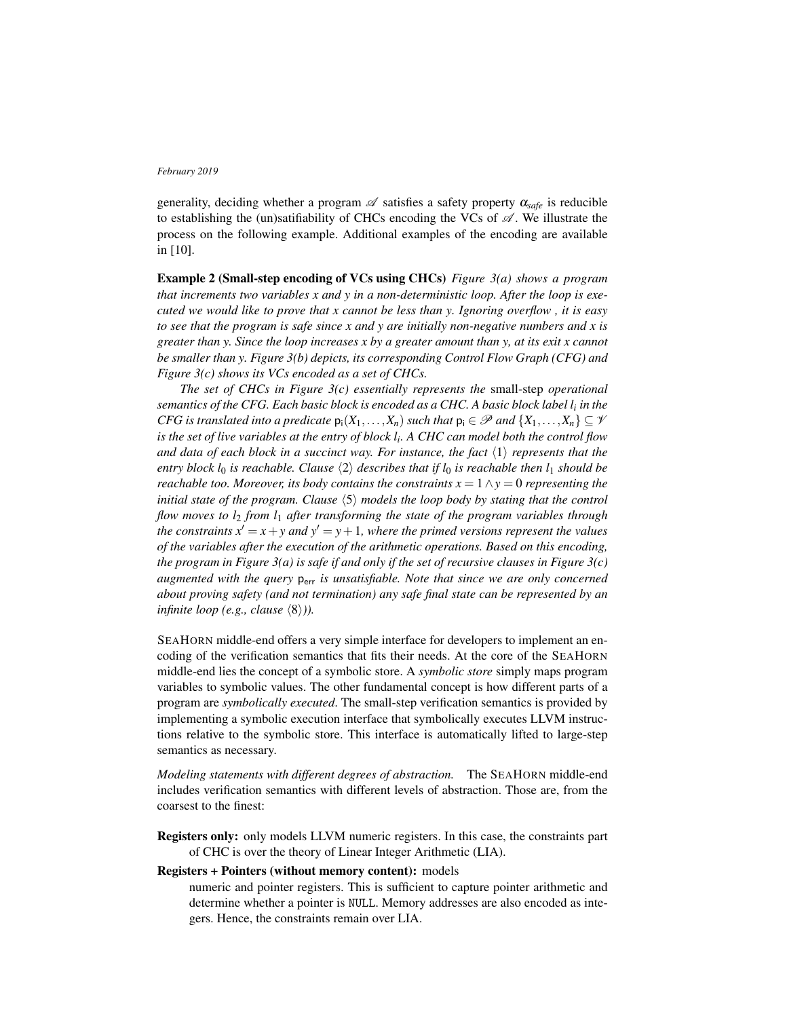generality, deciding whether a program  $\mathscr A$  satisfies a safety property  $\alpha_{\text{safe}}$  is reducible to establishing the (un)satifiability of CHCs encoding the VCs of  $\mathscr{A}$ . We illustrate the process on the following example. Additional examples of the encoding are available in [10].

Example 2 (Small-step encoding of VCs using CHCs) *Figure 3(a) shows a program that increments two variables x and y in a non-deterministic loop. After the loop is executed we would like to prove that x cannot be less than y. Ignoring overflow , it is easy to see that the program is safe since x and y are initially non-negative numbers and x is greater than y. Since the loop increases x by a greater amount than y, at its exit x cannot be smaller than y. Figure 3(b) depicts, its corresponding Control Flow Graph (CFG) and Figure 3(c) shows its VCs encoded as a set of CHCs.*

*The set of CHCs in Figure 3(c) essentially represents the* small-step *operational semantics of the CFG. Each basic block is encoded as a CHC. A basic block label l<sup>i</sup> in the CFG is translated into a predicate*  $p_i(X_1,...,X_n)$  *such that*  $p_i \in \mathcal{P}$  *and*  $\{X_1,...,X_n\} \subseteq \mathcal{V}$ *is the set of live variables at the entry of block l<sup>i</sup> . A CHC can model both the control flow and data of each block in a succinct way. For instance, the fact*  $\langle 1 \rangle$  *represents that the entry block l*<sub>0</sub> *is reachable. Clause*  $\langle 2 \rangle$  *describes that if l*<sub>0</sub> *is reachable then l*<sub>1</sub> *should be reachable too. Moreover, its body contains the constraints*  $x = 1 \land y = 0$  *representing the initial state of the program. Clause*  $\langle 5 \rangle$  *models the loop body by stating that the control flow moves to l*<sup>2</sup> *from l*<sup>1</sup> *after transforming the state of the program variables through the constraints*  $x' = x + y$  *and*  $y' = y + 1$ *, where the primed versions represent the values of the variables after the execution of the arithmetic operations. Based on this encoding, the program in Figure 3(a) is safe if and only if the set of recursive clauses in Figure 3(c) augmented with the query* perr *is unsatisfiable. Note that since we are only concerned about proving safety (and not termination) any safe final state can be represented by an infinite loop (e.g., clause*  $\langle 8 \rangle$ *)).* 

SEAHORN middle-end offers a very simple interface for developers to implement an encoding of the verification semantics that fits their needs. At the core of the SEAHORN middle-end lies the concept of a symbolic store. A *symbolic store* simply maps program variables to symbolic values. The other fundamental concept is how different parts of a program are *symbolically executed*. The small-step verification semantics is provided by implementing a symbolic execution interface that symbolically executes LLVM instructions relative to the symbolic store. This interface is automatically lifted to large-step semantics as necessary.

*Modeling statements with different degrees of abstraction.* The SEAHORN middle-end includes verification semantics with different levels of abstraction. Those are, from the coarsest to the finest:

Registers only: only models LLVM numeric registers. In this case, the constraints part of CHC is over the theory of Linear Integer Arithmetic (LIA).

# Registers + Pointers (without memory content): models

numeric and pointer registers. This is sufficient to capture pointer arithmetic and determine whether a pointer is NULL. Memory addresses are also encoded as integers. Hence, the constraints remain over LIA.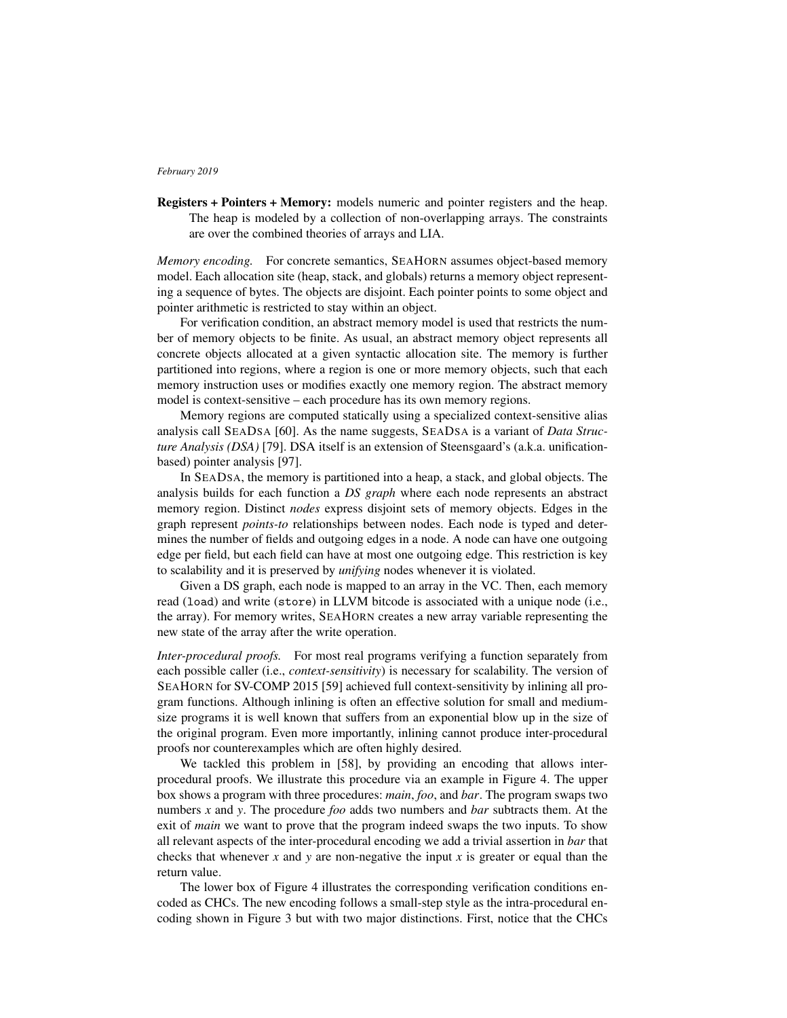Registers + Pointers + Memory: models numeric and pointer registers and the heap. The heap is modeled by a collection of non-overlapping arrays. The constraints are over the combined theories of arrays and LIA.

*Memory encoding.* For concrete semantics, SEAHORN assumes object-based memory model. Each allocation site (heap, stack, and globals) returns a memory object representing a sequence of bytes. The objects are disjoint. Each pointer points to some object and pointer arithmetic is restricted to stay within an object.

For verification condition, an abstract memory model is used that restricts the number of memory objects to be finite. As usual, an abstract memory object represents all concrete objects allocated at a given syntactic allocation site. The memory is further partitioned into regions, where a region is one or more memory objects, such that each memory instruction uses or modifies exactly one memory region. The abstract memory model is context-sensitive – each procedure has its own memory regions.

Memory regions are computed statically using a specialized context-sensitive alias analysis call SEADSA [60]. As the name suggests, SEADSA is a variant of *Data Structure Analysis (DSA)* [79]. DSA itself is an extension of Steensgaard's (a.k.a. unificationbased) pointer analysis [97].

In SEADSA, the memory is partitioned into a heap, a stack, and global objects. The analysis builds for each function a *DS graph* where each node represents an abstract memory region. Distinct *nodes* express disjoint sets of memory objects. Edges in the graph represent *points-to* relationships between nodes. Each node is typed and determines the number of fields and outgoing edges in a node. A node can have one outgoing edge per field, but each field can have at most one outgoing edge. This restriction is key to scalability and it is preserved by *unifying* nodes whenever it is violated.

Given a DS graph, each node is mapped to an array in the VC. Then, each memory read (load) and write (store) in LLVM bitcode is associated with a unique node (i.e., the array). For memory writes, SEAHORN creates a new array variable representing the new state of the array after the write operation.

*Inter-procedural proofs.* For most real programs verifying a function separately from each possible caller (i.e., *context-sensitivity*) is necessary for scalability. The version of SEAHORN for SV-COMP 2015 [59] achieved full context-sensitivity by inlining all program functions. Although inlining is often an effective solution for small and mediumsize programs it is well known that suffers from an exponential blow up in the size of the original program. Even more importantly, inlining cannot produce inter-procedural proofs nor counterexamples which are often highly desired.

We tackled this problem in [58], by providing an encoding that allows interprocedural proofs. We illustrate this procedure via an example in Figure 4. The upper box shows a program with three procedures: *main*, *foo*, and *bar*. The program swaps two numbers *x* and *y*. The procedure *foo* adds two numbers and *bar* subtracts them. At the exit of *main* we want to prove that the program indeed swaps the two inputs. To show all relevant aspects of the inter-procedural encoding we add a trivial assertion in *bar* that checks that whenever *x* and *y* are non-negative the input *x* is greater or equal than the return value.

The lower box of Figure 4 illustrates the corresponding verification conditions encoded as CHCs. The new encoding follows a small-step style as the intra-procedural encoding shown in Figure 3 but with two major distinctions. First, notice that the CHCs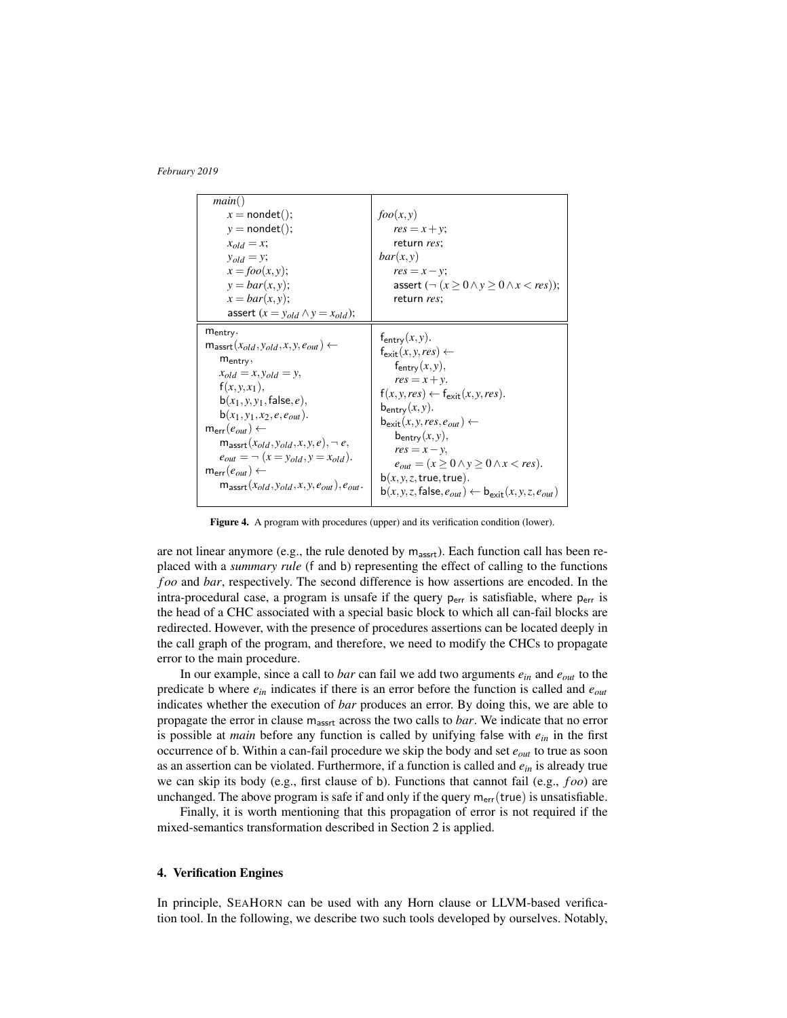| main()                                                          |                                                                                                        |
|-----------------------------------------------------------------|--------------------------------------------------------------------------------------------------------|
| $x = n$ ondet();                                                | foo(x, y)                                                                                              |
| $y = n$ ondet();                                                | $res = x + y;$                                                                                         |
| $x_{old} = x;$                                                  | return res;                                                                                            |
| $y_{old} = y;$                                                  | bar(x, y)                                                                                              |
| $x = foo(x, y);$                                                | $res = x - y;$                                                                                         |
| $y = bar(x, y);$                                                | assert $(\neg (x \ge 0 \land y \ge 0 \land x < res))$ ;                                                |
| $x = bar(x, y);$                                                | return res;                                                                                            |
| assert $(x = y_{old} \land y = x_{old})$ ;                      |                                                                                                        |
| $m_{entry}$ .                                                   |                                                                                                        |
| $m_{\text{assert}}(x_{old}, y_{old}, x, y, e_{out}) \leftarrow$ | $f_{\text{entry}}(x, y)$ .<br>$f_{\text{exit}}(x, y, res) \leftarrow$                                  |
| $m_{entry}$                                                     |                                                                                                        |
| $x_{old} = x, y_{old} = y,$                                     | $f_{\text{entry}}(x, y),$                                                                              |
| $f(x, y, x_1),$                                                 | $res = x + y$ .                                                                                        |
| $b(x_1, y, y_1, false, e),$                                     | $f(x, y, res) \leftarrow f_{exit}(x, y, res).$                                                         |
| $b(x_1, y_1, x_2, e, e_{out})$ .                                | $b_{\text{entry}}(x, y)$ .                                                                             |
| $m_{err}(e_{out}) \leftarrow$                                   | $\mathbf{b}_{\text{exit}}(x, y, res, e_{out}) \leftarrow$                                              |
| $m_{\text{assert}}(x_{old}, y_{old}, x, y, e), \neg e,$         | $b_{entry}(x, y),$                                                                                     |
| $e_{out} = \neg (x = y_{old}, y = x_{old}).$                    | $res = x - y$ ,                                                                                        |
| $m_{err}(e_{out}) \leftarrow$                                   | $e_{out} = (x \ge 0 \land y \ge 0 \land x < res).$                                                     |
| $m_{\text{assert}}(x_{old}, y_{old}, x, y, e_{out}), e_{out}.$  | $b(x, y, z, true, true)$ .                                                                             |
|                                                                 | $\mathbf{b}(x, y, z, \mathsf{false}, e_{out}) \leftarrow \mathbf{b}_{\mathsf{exit}}(x, y, z, e_{out})$ |

Figure 4. A program with procedures (upper) and its verification condition (lower).

are not linear anymore (e.g., the rule denoted by  $m_{\text{assert}}$ ). Each function call has been replaced with a *summary rule* (f and b) representing the effect of calling to the functions *f oo* and *bar*, respectively. The second difference is how assertions are encoded. In the intra-procedural case, a program is unsafe if the query  $p_{err}$  is satisfiable, where  $p_{err}$  is the head of a CHC associated with a special basic block to which all can-fail blocks are redirected. However, with the presence of procedures assertions can be located deeply in the call graph of the program, and therefore, we need to modify the CHCs to propagate error to the main procedure.

In our example, since a call to *bar* can fail we add two arguments *ein* and *eout* to the predicate b where  $e_{in}$  indicates if there is an error before the function is called and  $e_{out}$ indicates whether the execution of *bar* produces an error. By doing this, we are able to propagate the error in clause m<sub>assrt</sub> across the two calls to *bar*. We indicate that no error is possible at *main* before any function is called by unifying false with *ein* in the first occurrence of b. Within a can-fail procedure we skip the body and set *eout* to true as soon as an assertion can be violated. Furthermore, if a function is called and *ein* is already true we can skip its body (e.g., first clause of b). Functions that cannot fail (e.g., *f oo*) are unchanged. The above program is safe if and only if the query  $m_{\text{err}}(\text{true})$  is unsatisfiable.

Finally, it is worth mentioning that this propagation of error is not required if the mixed-semantics transformation described in Section 2 is applied.

# 4. Verification Engines

In principle, SEAHORN can be used with any Horn clause or LLVM-based verification tool. In the following, we describe two such tools developed by ourselves. Notably,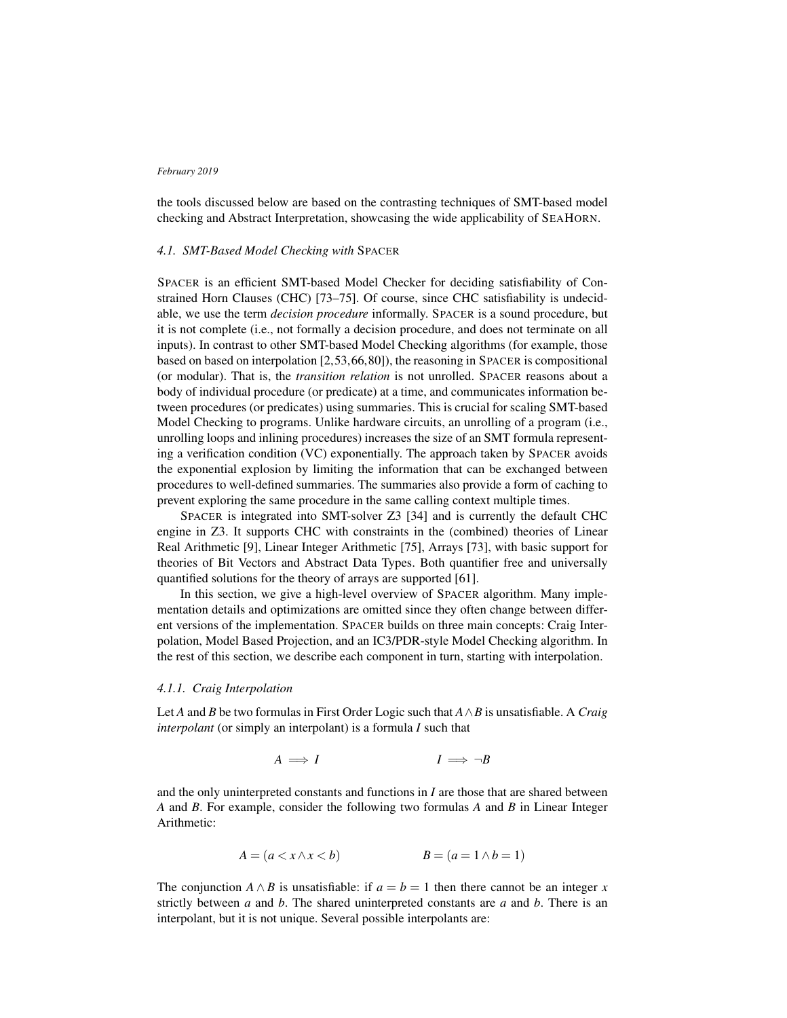the tools discussed below are based on the contrasting techniques of SMT-based model checking and Abstract Interpretation, showcasing the wide applicability of SEAHORN.

### *4.1. SMT-Based Model Checking with* SPACER

SPACER is an efficient SMT-based Model Checker for deciding satisfiability of Constrained Horn Clauses (CHC) [73–75]. Of course, since CHC satisfiability is undecidable, we use the term *decision procedure* informally. SPACER is a sound procedure, but it is not complete (i.e., not formally a decision procedure, and does not terminate on all inputs). In contrast to other SMT-based Model Checking algorithms (for example, those based on based on interpolation [2,53,66,80]), the reasoning in SPACER is compositional (or modular). That is, the *transition relation* is not unrolled. SPACER reasons about a body of individual procedure (or predicate) at a time, and communicates information between procedures (or predicates) using summaries. This is crucial for scaling SMT-based Model Checking to programs. Unlike hardware circuits, an unrolling of a program (i.e., unrolling loops and inlining procedures) increases the size of an SMT formula representing a verification condition (VC) exponentially. The approach taken by SPACER avoids the exponential explosion by limiting the information that can be exchanged between procedures to well-defined summaries. The summaries also provide a form of caching to prevent exploring the same procedure in the same calling context multiple times.

SPACER is integrated into SMT-solver Z3 [34] and is currently the default CHC engine in Z3. It supports CHC with constraints in the (combined) theories of Linear Real Arithmetic [9], Linear Integer Arithmetic [75], Arrays [73], with basic support for theories of Bit Vectors and Abstract Data Types. Both quantifier free and universally quantified solutions for the theory of arrays are supported [61].

In this section, we give a high-level overview of SPACER algorithm. Many implementation details and optimizations are omitted since they often change between different versions of the implementation. SPACER builds on three main concepts: Craig Interpolation, Model Based Projection, and an IC3/PDR-style Model Checking algorithm. In the rest of this section, we describe each component in turn, starting with interpolation.

### *4.1.1. Craig Interpolation*

Let *A* and *B* be two formulas in First Order Logic such that *A*∧*B* is unsatisfiable. A *Craig interpolant* (or simply an interpolant) is a formula *I* such that

$$
A \implies I \qquad \qquad I \implies \neg B
$$

and the only uninterpreted constants and functions in *I* are those that are shared between *A* and *B*. For example, consider the following two formulas *A* and *B* in Linear Integer Arithmetic:

$$
A = (a < x \land x < b) \qquad \qquad B = (a = 1 \land b = 1)
$$

The conjunction *A*  $\land$  *B* is unsatisfiable: if  $a = b = 1$  then there cannot be an integer *x* strictly between *a* and *b*. The shared uninterpreted constants are *a* and *b*. There is an interpolant, but it is not unique. Several possible interpolants are: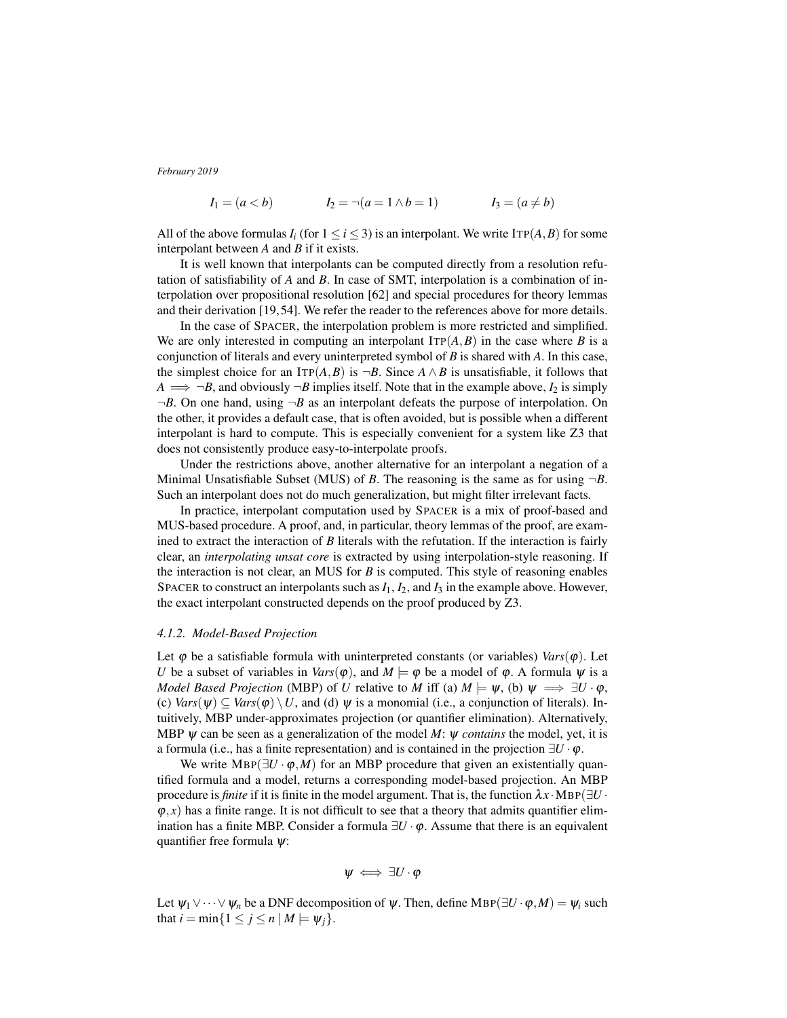$$
I_1 = (a < b)
$$
  $I_2 = \neg(a = 1 \land b = 1)$   $I_3 = (a \neq b)$ 

All of the above formulas  $I_i$  (for  $1 \le i \le 3$ ) is an interpolant. We write  $\text{ITP}(A, B)$  for some interpolant between *A* and *B* if it exists.

It is well known that interpolants can be computed directly from a resolution refutation of satisfiability of *A* and *B*. In case of SMT, interpolation is a combination of interpolation over propositional resolution [62] and special procedures for theory lemmas and their derivation [19,54]. We refer the reader to the references above for more details.

In the case of SPACER, the interpolation problem is more restricted and simplified. We are only interested in computing an interpolant  $\text{ITP}(A, B)$  in the case where *B* is a conjunction of literals and every uninterpreted symbol of *B* is shared with *A*. In this case, the simplest choice for an ITP( $A$ , $B$ ) is  $\neg B$ . Since  $A \wedge B$  is unsatisfiable, it follows that  $A \implies \neg B$ , and obviously  $\neg B$  implies itself. Note that in the example above,  $I_2$  is simply  $\neg B$ . On one hand, using  $\neg B$  as an interpolant defeats the purpose of interpolation. On the other, it provides a default case, that is often avoided, but is possible when a different interpolant is hard to compute. This is especially convenient for a system like Z3 that does not consistently produce easy-to-interpolate proofs.

Under the restrictions above, another alternative for an interpolant a negation of a Minimal Unsatisfiable Subset (MUS) of *B*. The reasoning is the same as for using  $\neg B$ . Such an interpolant does not do much generalization, but might filter irrelevant facts.

In practice, interpolant computation used by SPACER is a mix of proof-based and MUS-based procedure. A proof, and, in particular, theory lemmas of the proof, are examined to extract the interaction of *B* literals with the refutation. If the interaction is fairly clear, an *interpolating unsat core* is extracted by using interpolation-style reasoning. If the interaction is not clear, an MUS for *B* is computed. This style of reasoning enables SPACER to construct an interpolants such as  $I_1$ ,  $I_2$ , and  $I_3$  in the example above. However, the exact interpolant constructed depends on the proof produced by Z3.

# *4.1.2. Model-Based Projection*

Let  $\varphi$  be a satisfiable formula with uninterpreted constants (or variables) *Vars*( $\varphi$ ). Let *U* be a subset of variables in *Vars*( $\varphi$ ), and  $M \models \varphi$  be a model of  $\varphi$ . A formula  $\psi$  is a *Model Based Projection* (MBP) of *U* relative to *M* iff (a)  $M \models \psi$ , (b)  $\psi \implies \exists U \cdot \phi$ , (c)  $Vars(\psi) \subseteq Vars(\varphi) \setminus U$ , and (d)  $\psi$  is a monomial (i.e., a conjunction of literals). Intuitively, MBP under-approximates projection (or quantifier elimination). Alternatively, MBP ψ can be seen as a generalization of the model *M*: ψ *contains* the model, yet, it is a formula (i.e., has a finite representation) and is contained in the projection  $\exists U \cdot \varphi$ .

We write  $MBP(\exists U \cdot \varphi, M)$  for an MBP procedure that given an existentially quantified formula and a model, returns a corresponding model-based projection. An MBP procedure is *finite* if it is finite in the model argument. That is, the function  $\lambda x \cdot MBP(\exists U \cdot$  $\varphi$ , *x*) has a finite range. It is not difficult to see that a theory that admits quantifier elimination has a finite MBP. Consider a formula  $\exists U \cdot \varphi$ . Assume that there is an equivalent quantifier free formula  $\psi$ :

$$
\psi \iff \exists U \cdot \varphi
$$

Let  $\psi_1 \vee \cdots \vee \psi_n$  be a DNF decomposition of  $\psi$ . Then, define MBP( $\exists U \cdot \varphi, M$ ) =  $\psi_i$  such that  $i = \min\{1 \le j \le n \mid M \models \psi_i\}.$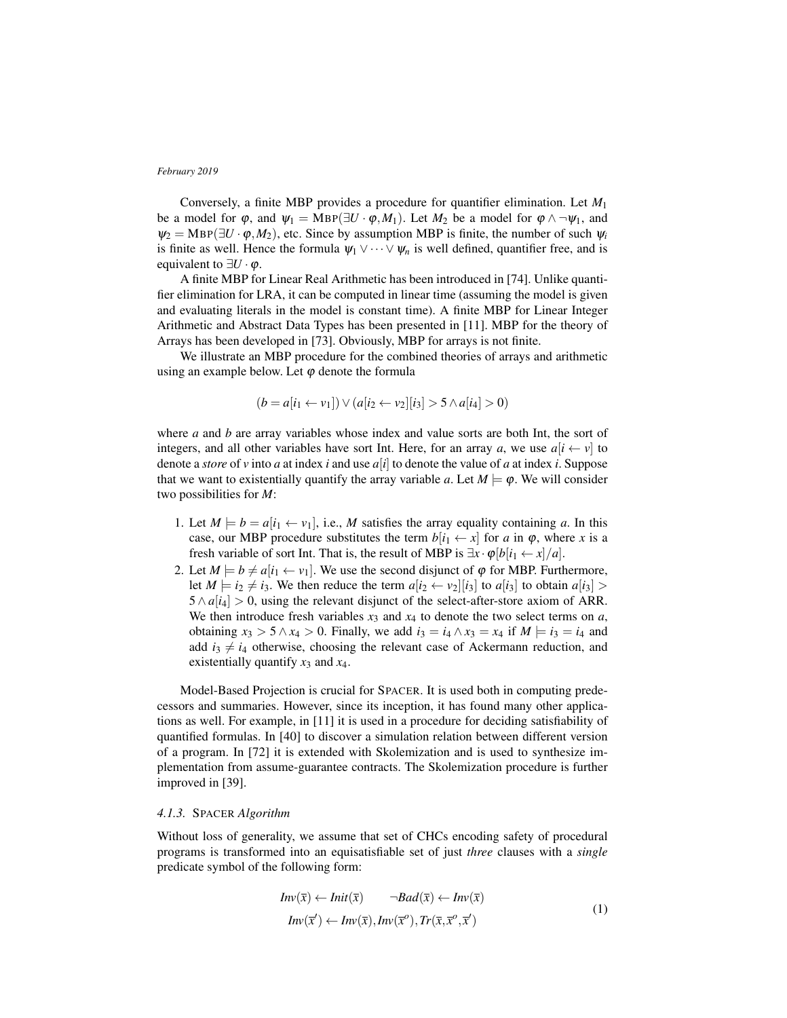Conversely, a finite MBP provides a procedure for quantifier elimination. Let *M*<sup>1</sup> be a model for  $\varphi$ , and  $\psi_1 = \text{MBP}(\exists U \cdot \varphi, M_1)$ . Let  $M_2$  be a model for  $\varphi \wedge \neg \psi_1$ , and  $\psi_2 = \text{MBP}(\exists U \cdot \varphi, M_2)$ , etc. Since by assumption MBP is finite, the number of such  $\psi_i$ is finite as well. Hence the formula  $\psi_1 \vee \cdots \vee \psi_n$  is well defined, quantifier free, and is equivalent to  $\exists U \cdot \varphi$ .

A finite MBP for Linear Real Arithmetic has been introduced in [74]. Unlike quantifier elimination for LRA, it can be computed in linear time (assuming the model is given and evaluating literals in the model is constant time). A finite MBP for Linear Integer Arithmetic and Abstract Data Types has been presented in [11]. MBP for the theory of Arrays has been developed in [73]. Obviously, MBP for arrays is not finite.

We illustrate an MBP procedure for the combined theories of arrays and arithmetic using an example below. Let  $\varphi$  denote the formula

$$
(b = a[i_1 \leftarrow v_1]) \vee (a[i_2 \leftarrow v_2][i_3] > 5 \wedge a[i_4] > 0)
$$

where *a* and *b* are array variables whose index and value sorts are both Int, the sort of integers, and all other variables have sort Int. Here, for an array *a*, we use  $a[i \leftarrow v]$  to denote a *store* of *v* into *a* at index *i* and use *a*[*i*] to denote the value of *a* at index *i*. Suppose that we want to existentially quantify the array variable *a*. Let  $M \models \varphi$ . We will consider two possibilities for *M*:

- 1. Let  $M \models b = a[i_1 \leftarrow v_1]$ , i.e., M satisfies the array equality containing a. In this case, our MBP procedure substitutes the term  $b[i_1 \leftarrow x]$  for *a* in  $\varphi$ , where *x* is a fresh variable of sort Int. That is, the result of MBP is  $\exists x \cdot \varphi[b[i_1 \leftarrow x]/a]$ .
- 2. Let  $M \models b \neq a[i_1 \leftarrow v_1]$ . We use the second disjunct of  $\varphi$  for MBP. Furthermore, let  $M \models i_2 \neq i_3$ . We then reduce the term  $a[i_2 \leftarrow v_2][i_3]$  to  $a[i_3]$  to obtain  $a[i_3] >$  $5 \wedge a[i_4] > 0$ , using the relevant disjunct of the select-after-store axiom of ARR. We then introduce fresh variables  $x_3$  and  $x_4$  to denote the two select terms on  $a$ , obtaining  $x_3 > 5 \land x_4 > 0$ . Finally, we add  $i_3 = i_4 \land x_3 = x_4$  if  $M \models i_3 = i_4$  and add  $i_3 \neq i_4$  otherwise, choosing the relevant case of Ackermann reduction, and existentially quantify *x*<sup>3</sup> and *x*4.

Model-Based Projection is crucial for SPACER. It is used both in computing predecessors and summaries. However, since its inception, it has found many other applications as well. For example, in [11] it is used in a procedure for deciding satisfiability of quantified formulas. In [40] to discover a simulation relation between different version of a program. In [72] it is extended with Skolemization and is used to synthesize implementation from assume-guarantee contracts. The Skolemization procedure is further improved in [39].

# *4.1.3.* SPACER *Algorithm*

Without loss of generality, we assume that set of CHCs encoding safety of procedural programs is transformed into an equisatisfiable set of just *three* clauses with a *single* predicate symbol of the following form:

$$
Inv(\overline{x}) \leftarrow Init(\overline{x}) \qquad \neg Bad(\overline{x}) \leftarrow Inv(\overline{x})
$$
  
\n
$$
Inv(\overline{x}') \leftarrow Inv(\overline{x}), Inv(\overline{x}'), Tr(\overline{x}, \overline{x}', \overline{x}')
$$
 (1)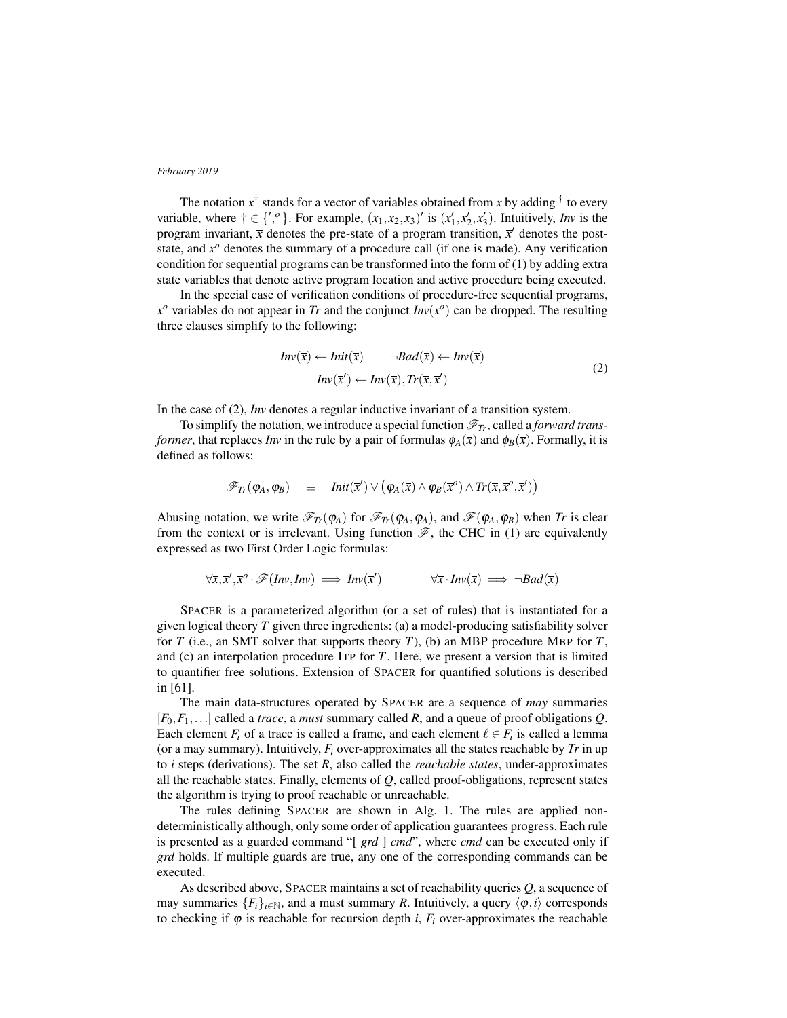The notation  $\bar{x}^{\dagger}$  stands for a vector of variables obtained from  $\bar{x}$  by adding <sup>†</sup> to every variable, where  $\dagger \in \{',\circ\}$ . For example,  $(x_1, x_2, x_3)'$  is  $(x'_1, x'_2, x'_3)$ . Intuitively, *Inv* is the program invariant,  $\bar{x}$  denotes the pre-state of a program transition,  $\bar{x}$  denotes the poststate, and  $\bar{x}^o$  denotes the summary of a procedure call (if one is made). Any verification condition for sequential programs can be transformed into the form of (1) by adding extra state variables that denote active program location and active procedure being executed.

In the special case of verification conditions of procedure-free sequential programs,  $\bar{x}^{\circ}$  variables do not appear in *Tr* and the conjunct *Inv*( $\bar{x}^{\circ}$ ) can be dropped. The resulting three clauses simplify to the following:

$$
Inv(\overline{x}) \leftarrow Init(\overline{x}) \qquad \neg Bad(\overline{x}) \leftarrow Inv(\overline{x})
$$
  
\n
$$
Inv(\overline{x}') \leftarrow Inv(\overline{x}), Tr(\overline{x}, \overline{x}')
$$
 (2)

In the case of (2), *Inv* denotes a regular inductive invariant of a transition system.

To simplify the notation, we introduce a special function  $\mathcal{F}_{Tr}$ , called a *forward transformer*, that replaces *Inv* in the rule by a pair of formulas  $\phi_A(\bar{x})$  and  $\phi_B(\bar{x})$ . Formally, it is defined as follows:

$$
\mathscr{F}_{Tr}(\varphi_A, \varphi_B) \equiv \text{Init}(\overline{x}') \vee (\varphi_A(\overline{x}) \wedge \varphi_B(\overline{x}^o) \wedge \text{Tr}(\overline{x}, \overline{x}^o, \overline{x}'))
$$

Abusing notation, we write  $\mathscr{F}_{T_r}(\varphi_A)$  for  $\mathscr{F}_{T_r}(\varphi_A,\varphi_A)$ , and  $\mathscr{F}(\varphi_A,\varphi_B)$  when *Tr* is clear from the context or is irrelevant. Using function  $\mathscr{F}$ , the CHC in (1) are equivalently expressed as two First Order Logic formulas:

$$
\forall \overline{x}, \overline{x}', \overline{x}^o \cdot \mathscr{F}(Inv, Inv) \implies Inv(\overline{x}') \qquad \forall \overline{x} \cdot Inv(\overline{x}) \implies \neg Bad(\overline{x})
$$

SPACER is a parameterized algorithm (or a set of rules) that is instantiated for a given logical theory *T* given three ingredients: (a) a model-producing satisfiability solver for *T* (i.e., an SMT solver that supports theory *T*), (b) an MBP procedure MBP for *T*, and (c) an interpolation procedure ITP for *T*. Here, we present a version that is limited to quantifier free solutions. Extension of SPACER for quantified solutions is described in [61].

The main data-structures operated by SPACER are a sequence of *may* summaries [*F*0,*F*1,...] called a *trace*, a *must* summary called *R*, and a queue of proof obligations *Q*. Each element  $F_i$  of a trace is called a frame, and each element  $\ell \in F_i$  is called a lemma (or a may summary). Intuitively,  $F_i$  over-approximates all the states reachable by  $Tr$  in up to *i* steps (derivations). The set *R*, also called the *reachable states*, under-approximates all the reachable states. Finally, elements of *Q*, called proof-obligations, represent states the algorithm is trying to proof reachable or unreachable.

The rules defining SPACER are shown in Alg. 1. The rules are applied nondeterministically although, only some order of application guarantees progress. Each rule is presented as a guarded command "[ *grd* ] *cmd*", where *cmd* can be executed only if *grd* holds. If multiple guards are true, any one of the corresponding commands can be executed.

As described above, SPACER maintains a set of reachability queries *Q*, a sequence of may summaries  $\{F_i\}_{i\in\mathbb{N}}$ , and a must summary *R*. Intuitively, a query  $\langle \varphi, i \rangle$  corresponds to checking if  $\varphi$  is reachable for recursion depth *i*,  $F_i$  over-approximates the reachable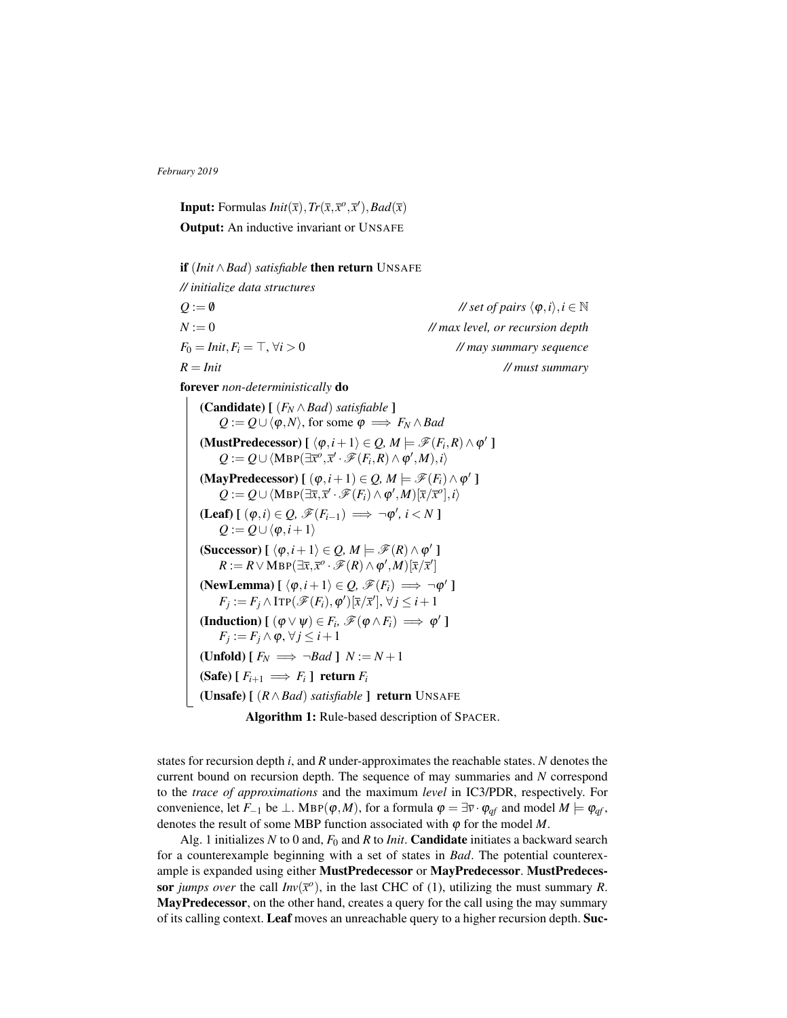**Input:** Formulas  $Init(\overline{x}), Tr(\overline{x}, \overline{x}^o, \overline{x}^r), Bad(\overline{x})$ Output: An inductive invariant or UNSAFE

if (*Init*∧*Bad*) *satisfiable* then return UNSAFE *// initialize data structures*  $Q := \emptyset$  // *set of pairs*  $\langle \varphi, i \rangle, i \in \mathbb{N}$ *N* := 0 *// max level, or recursion depth*  $F_0 = \text{Init}, F_i = \top, \forall i > 0$  // *may summary sequence R* = *Init // must summary*

forever *non-deterministically* do

(**Candidate**)  $[(F_N \wedge Bad)$  *satisfiable* ]  $Q$  :=  $Q$  ∪  $\langle$  *ϕ*, *N* $\rangle$ , for some  $φ$   $\implies$  *F<sub>N</sub>* ∧ *Bad* (MustPredecessor)  $\left[ \langle \varphi, i+1 \rangle \in \mathcal{Q}, M \models \mathscr{F}(F_i, R) \wedge \varphi' \right]$  $Q := Q \cup \langle \text{MBP}(\exists \overline{x}^o, \overline{x}^{\prime} \cdot \mathscr{F}(F_i, R) \wedge \varphi^{\prime}, M), i \rangle$ (MayPredecessor)  $[(\varphi, i+1) \in Q, M \models \mathscr{F}(F_i) \wedge \varphi']$  $Q := Q \cup \langle \text{MBP}(\exists \overline{x}, \overline{x}' \cdot \mathscr{F}(F_i) \wedge \varphi', M) [\overline{x}/\overline{x}^o], i \rangle$  $(\text{Leaf}) \left[ (\varphi, i) \in \mathcal{Q}, \mathscr{F}(F_{i-1}) \implies \neg \varphi', i < N \right]$  $Q := Q \cup \langle \varphi, i+1 \rangle$ (Successor)  $\left[\ \langle \varphi, i+1 \rangle \in \mathcal{Q}, M \models \mathscr{F}(R) \wedge \varphi' \right]$  $R := R \vee \text{MBP}(\exists \overline{x}, \overline{x}^o \cdot \mathscr{F}(R) \wedge \varphi', M)[\overline{x}/\overline{x}']$ (NewLemma)  $\left[\langle \varphi, i+1 \rangle \in \mathcal{Q}, \mathscr{F}(F_i) \Longrightarrow \neg \varphi' \right]$  $F_j := F_j \wedge \text{ITP}(\mathscr{F}(F_i), \varphi')[\bar{x}/\bar{x}'], \forall j \leq i+1$ (Induction)  $[ (\varphi \vee \psi) \in F_i, \mathscr{F}(\varphi \wedge F_i) \implies \varphi' ]$  $F_j := F_j \wedge \varphi, \forall j \leq i+1$ (Unfold)  $[F_N \implies \neg Bad] N := N + 1$  $(Safe) [ F_{i+1} \implies F_i ] return F_i$ (Unsafe) [ (*R*∧*Bad*) *satisfiable* ] return UNSAFE

Algorithm 1: Rule-based description of SPACER.

states for recursion depth *i*, and *R* under-approximates the reachable states. *N* denotes the current bound on recursion depth. The sequence of may summaries and *N* correspond to the *trace of approximations* and the maximum *level* in IC3/PDR, respectively. For convenience, let *F*<sub>−1</sub> be  $\perp$ . MBP( $\varphi$ *,M*), for a formula  $\varphi = \exists \overline{v} \cdot \varphi_{qf}$  and model  $M \models \varphi_{qf}$ , denotes the result of some MBP function associated with  $\varphi$  for the model  $M$ .

Alg. 1 initializes  $N$  to 0 and,  $F_0$  and  $R$  to *Init*. **Candidate** initiates a backward search for a counterexample beginning with a set of states in *Bad*. The potential counterexample is expanded using either **MustPredecessor** or **MayPredecessor**. **MustPredeces**sor *jumps over* the call  $Inv(\bar{x}^{\circ})$ , in the last CHC of (1), utilizing the must summary *R*. MayPredecessor, on the other hand, creates a query for the call using the may summary of its calling context. Leaf moves an unreachable query to a higher recursion depth. Suc-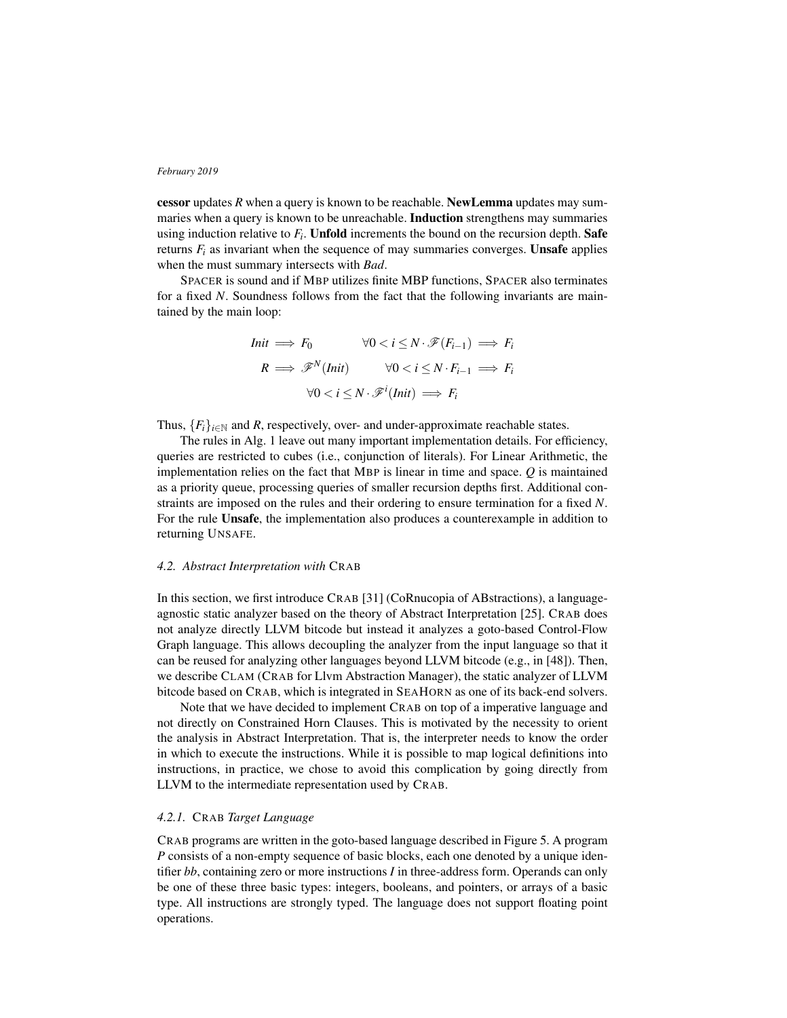cessor updates *R* when a query is known to be reachable. NewLemma updates may summaries when a query is known to be unreachable. Induction strengthens may summaries using induction relative to  $F_i$ . Unfold increments the bound on the recursion depth. Safe returns  $F_i$  as invariant when the sequence of may summaries converges. Unsafe applies when the must summary intersects with *Bad*.

SPACER is sound and if MBP utilizes finite MBP functions, SPACER also terminates for a fixed *N*. Soundness follows from the fact that the following invariants are maintained by the main loop:

$$
Init \implies F_0 \qquad \forall 0 < i \le N \cdot \mathcal{F}(F_{i-1}) \implies F_i
$$

$$
R \implies \mathcal{F}^N(\text{Init}) \qquad \forall 0 < i \le N \cdot F_{i-1} \implies F_i
$$

$$
\forall 0 < i \le N \cdot \mathcal{F}^i(\text{Init}) \implies F_i
$$

Thus,  ${F_i}_{i \in \mathbb{N}}$  and *R*, respectively, over- and under-approximate reachable states.

The rules in Alg. 1 leave out many important implementation details. For efficiency, queries are restricted to cubes (i.e., conjunction of literals). For Linear Arithmetic, the implementation relies on the fact that MBP is linear in time and space. *Q* is maintained as a priority queue, processing queries of smaller recursion depths first. Additional constraints are imposed on the rules and their ordering to ensure termination for a fixed *N*. For the rule Unsafe, the implementation also produces a counterexample in addition to returning UNSAFE.

# *4.2. Abstract Interpretation with* CRAB

In this section, we first introduce CRAB [31] (CoRnucopia of ABstractions), a languageagnostic static analyzer based on the theory of Abstract Interpretation [25]. CRAB does not analyze directly LLVM bitcode but instead it analyzes a goto-based Control-Flow Graph language. This allows decoupling the analyzer from the input language so that it can be reused for analyzing other languages beyond LLVM bitcode (e.g., in [48]). Then, we describe CLAM (CRAB for Llvm Abstraction Manager), the static analyzer of LLVM bitcode based on CRAB, which is integrated in SEAHORN as one of its back-end solvers.

Note that we have decided to implement CRAB on top of a imperative language and not directly on Constrained Horn Clauses. This is motivated by the necessity to orient the analysis in Abstract Interpretation. That is, the interpreter needs to know the order in which to execute the instructions. While it is possible to map logical definitions into instructions, in practice, we chose to avoid this complication by going directly from LLVM to the intermediate representation used by CRAB.

# *4.2.1.* CRAB *Target Language*

CRAB programs are written in the goto-based language described in Figure 5. A program *P* consists of a non-empty sequence of basic blocks, each one denoted by a unique identifier *bb*, containing zero or more instructions *I* in three-address form. Operands can only be one of these three basic types: integers, booleans, and pointers, or arrays of a basic type. All instructions are strongly typed. The language does not support floating point operations.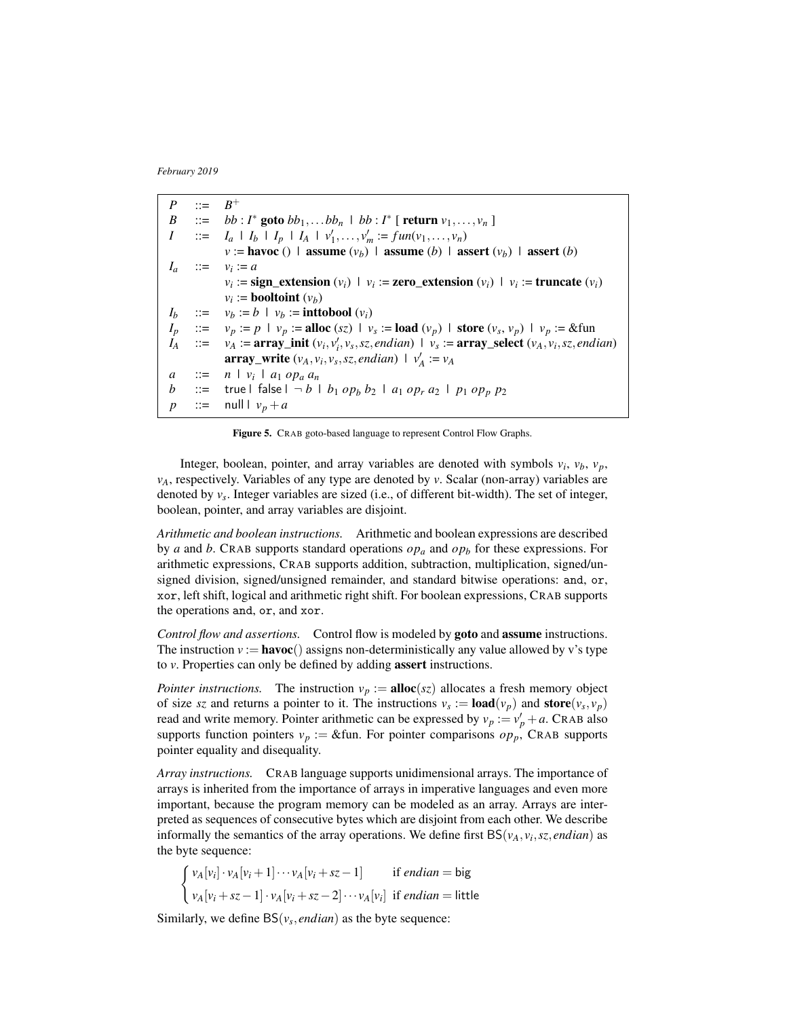*P* ::= *B*  $B^+$ *B* ::= *bb*: *I*<sup>\*</sup> goto *bb*<sub>1</sub>,...*bb<sub>n</sub>* | *bb*: *I*<sup>\*</sup> [ return  $v_1, ..., v_n$  ] *I* ::= *I<sub>a</sub>*  $\mid$  *I<sub>b</sub>*  $\mid$  *I<sub>p</sub>*  $\mid$  *I<sub>A</sub>*  $\mid$  *v*<sub>1</sub>,..., *v<sub>m</sub>* := *fun*(*v*<sub>1</sub>,..., *v<sub>n</sub>*)  $v :=$  havoc () | assume  $(v_b)$  | assume (*b*) | assert  $(v_b)$  | assert (*b*)  $I_a$  ::=  $v_i := a$  $v_i := \text{sign\_extension}(v_i) \mid v_i := \text{zero\_extension}(v_i) \mid v_i := \text{truncated}(v_i)$  $v_i := \textbf{booltoint} (v_b)$  $\therefore$   $\therefore$  *v*<sub>*b*</sub>  $\therefore$  *b*  $\vdash$  *v*<sub>*b*</sub>  $\therefore$  inttobool  $(v_i)$ *I*<sup>p</sup> ::= *v*<sub>*p*</sub> := *p* | *v*<sub>*p*</sub> := alloc (*sz*) | *v<sub><i>s*</sub> := load (*v*<sub>*p*</sub>) | store (*v<sub>s</sub>*, *v*<sub>*p*</sub>) | *v*<sub>*p*</sub> := &fun  $I_A$  ::=  $v_A$  :=  $\operatorname{array\_init}(v_i, v'_i, v_s, sz, \text{endian})$  |  $v_s$  :=  $\operatorname{array\_select}(v_A, v_i, sz, \text{endian})$ array\_write  $(v_A, v_i, v_s, sz, \text{endian})$  |  $v'_A := v_A$  $a$  ::=  $n \mid v_i \mid a_1 \text{ } op_a \text{ } a_n$ *b* ::= true | false  $| \neg b | b_1 op_b b_2 | a_1 op_r a_2 | p_1 op_p p_2$ *p* ::= null  $v_p + a$ 

Figure 5. CRAB goto-based language to represent Control Flow Graphs.

Integer, boolean, pointer, and array variables are denoted with symbols  $v_i$ ,  $v_b$ ,  $v_p$ , *vA*, respectively. Variables of any type are denoted by *v*. Scalar (non-array) variables are denoted by *v<sup>s</sup>* . Integer variables are sized (i.e., of different bit-width). The set of integer, boolean, pointer, and array variables are disjoint.

*Arithmetic and boolean instructions.* Arithmetic and boolean expressions are described by *a* and *b*. CRAB supports standard operations *op<sup>a</sup>* and *op<sup>b</sup>* for these expressions. For arithmetic expressions, CRAB supports addition, subtraction, multiplication, signed/unsigned division, signed/unsigned remainder, and standard bitwise operations: and, or, xor, left shift, logical and arithmetic right shift. For boolean expressions, CRAB supports the operations and, or, and xor.

*Control flow and assertions.* Control flow is modeled by goto and assume instructions. The instruction  $v := \textbf{havoc}()$  assigns non-deterministically any value allowed by v's type to *v*. Properties can only be defined by adding assert instructions.

*Pointer instructions.* The instruction  $v_p := \textbf{alloc}(sz)$  allocates a fresh memory object of size *sz* and returns a pointer to it. The instructions  $v_s := \textbf{load}(v_p)$  and  $\textbf{store}(v_s, v_p)$ read and write memory. Pointer arithmetic can be expressed by  $v_p := v'_p + a$ . CRAB also supports function pointers  $v_p := \&$  fun. For pointer comparisons  $op_p$ , CRAB supports pointer equality and disequality.

*Array instructions.* CRAB language supports unidimensional arrays. The importance of arrays is inherited from the importance of arrays in imperative languages and even more important, because the program memory can be modeled as an array. Arrays are interpreted as sequences of consecutive bytes which are disjoint from each other. We describe informally the semantics of the array operations. We define first  $BS(v_A, v_i, sz, \text{endian})$  as the byte sequence:

$$
\begin{cases}\n v_A[v_i] \cdot v_A[v_i+1] \cdots v_A[v_i+sz-1] & \text{if endian = big \\
v_A[v_i+sz-1] \cdot v_A[v_i+sz-2] \cdots v_A[v_i] & \text{if endian = little\n\end{cases}
$$

Similarly, we define  $BS(v_s, \text{endian})$  as the byte sequence: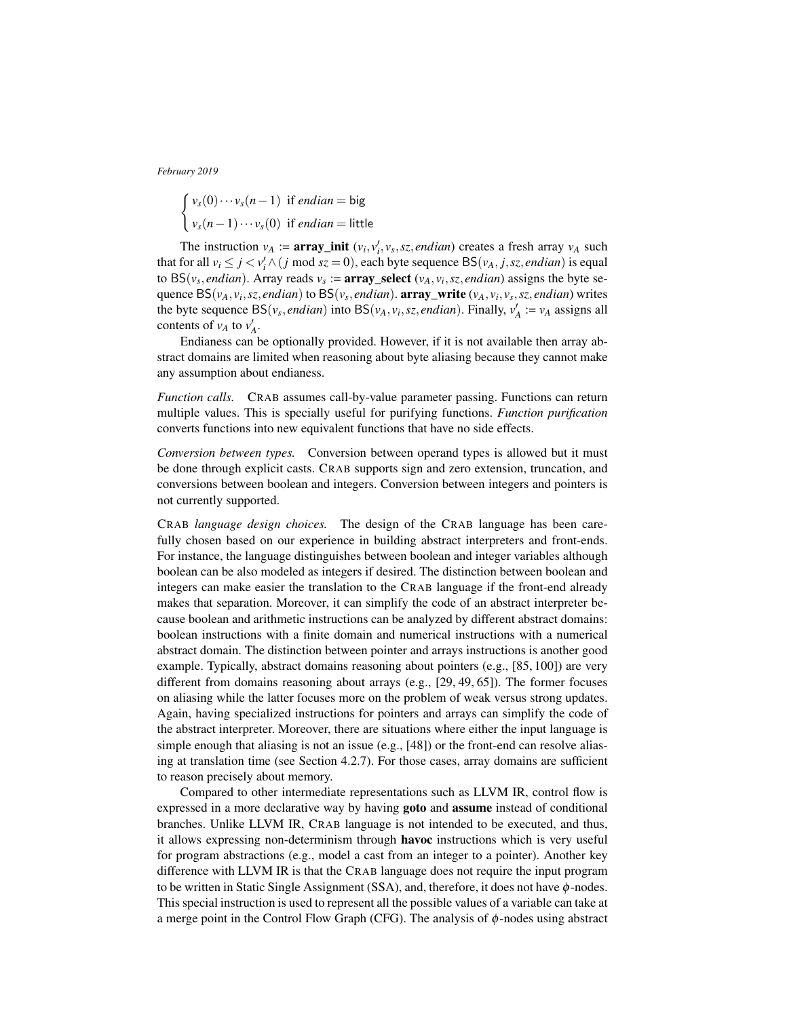$$
\begin{cases} v_s(0) \cdots v_s(n-1) & \text{if endian = big \\ v_s(n-1) \cdots v_s(0) & \text{if endian = little} \end{cases}
$$

The instruction  $v_A := \text{array\_init}(v_i, v'_i, v_s, sz, \text{endian})$  creates a fresh array  $v_A$  such that for all  $v_i \leq j < v'_i \wedge (j \text{ mod } s z = 0)$ , each byte sequence  $BS(v_A, j, sz, \text{endian})$  is equal to  $BS(v_s, \text{endian})$ . Array reads  $v_s := \text{array\_select}(v_A, v_i, sz, \text{endian})$  assigns the byte sequence BS(*vA*, *v<sup>i</sup>* ,*sz*, *endian*) to BS(*v<sup>s</sup>* , *endian*). array\_write (*vA*, *v<sup>i</sup>* , *v<sup>s</sup>* ,*sz*, *endian*) writes the byte sequence  $BS(v_s, \text{endian})$  into  $BS(v_A, v_i, \text{sz}, \text{endian})$ . Finally,  $v'_A := v_A$  assigns all contents of  $v_A$  to  $v'_A$ .

Endianess can be optionally provided. However, if it is not available then array abstract domains are limited when reasoning about byte aliasing because they cannot make any assumption about endianess.

*Function calls.* CRAB assumes call-by-value parameter passing. Functions can return multiple values. This is specially useful for purifying functions. *Function purification* converts functions into new equivalent functions that have no side effects.

*Conversion between types.* Conversion between operand types is allowed but it must be done through explicit casts. CRAB supports sign and zero extension, truncation, and conversions between boolean and integers. Conversion between integers and pointers is not currently supported.

CRAB *language design choices.* The design of the CRAB language has been carefully chosen based on our experience in building abstract interpreters and front-ends. For instance, the language distinguishes between boolean and integer variables although boolean can be also modeled as integers if desired. The distinction between boolean and integers can make easier the translation to the CRAB language if the front-end already makes that separation. Moreover, it can simplify the code of an abstract interpreter because boolean and arithmetic instructions can be analyzed by different abstract domains: boolean instructions with a finite domain and numerical instructions with a numerical abstract domain. The distinction between pointer and arrays instructions is another good example. Typically, abstract domains reasoning about pointers (e.g., [85, 100]) are very different from domains reasoning about arrays (e.g., [29, 49, 65]). The former focuses on aliasing while the latter focuses more on the problem of weak versus strong updates. Again, having specialized instructions for pointers and arrays can simplify the code of the abstract interpreter. Moreover, there are situations where either the input language is simple enough that aliasing is not an issue (e.g., [48]) or the front-end can resolve aliasing at translation time (see Section 4.2.7). For those cases, array domains are sufficient to reason precisely about memory.

Compared to other intermediate representations such as LLVM IR, control flow is expressed in a more declarative way by having goto and assume instead of conditional branches. Unlike LLVM IR, CRAB language is not intended to be executed, and thus, it allows expressing non-determinism through havoc instructions which is very useful for program abstractions (e.g., model a cast from an integer to a pointer). Another key difference with LLVM IR is that the CRAB language does not require the input program to be written in Static Single Assignment (SSA), and, therefore, it does not have  $\phi$ -nodes. This special instruction is used to represent all the possible values of a variable can take at a merge point in the Control Flow Graph (CFG). The analysis of  $\phi$ -nodes using abstract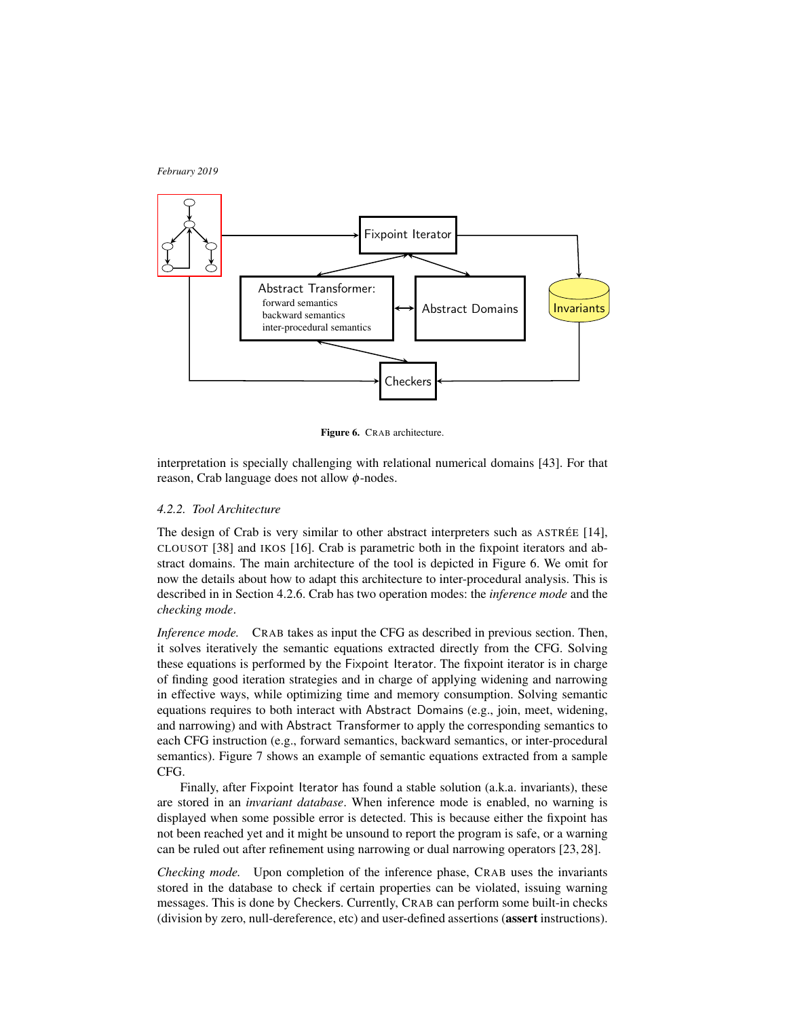

Figure 6. CRAB architecture.

interpretation is specially challenging with relational numerical domains [43]. For that reason, Crab language does not allow φ-nodes.

# *4.2.2. Tool Architecture*

The design of Crab is very similar to other abstract interpreters such as ASTRÉE [14], CLOUSOT [38] and IKOS [16]. Crab is parametric both in the fixpoint iterators and abstract domains. The main architecture of the tool is depicted in Figure 6. We omit for now the details about how to adapt this architecture to inter-procedural analysis. This is described in in Section 4.2.6. Crab has two operation modes: the *inference mode* and the *checking mode*.

*Inference mode.* CRAB takes as input the CFG as described in previous section. Then, it solves iteratively the semantic equations extracted directly from the CFG. Solving these equations is performed by the Fixpoint Iterator. The fixpoint iterator is in charge of finding good iteration strategies and in charge of applying widening and narrowing in effective ways, while optimizing time and memory consumption. Solving semantic equations requires to both interact with Abstract Domains (e.g., join, meet, widening, and narrowing) and with Abstract Transformer to apply the corresponding semantics to each CFG instruction (e.g., forward semantics, backward semantics, or inter-procedural semantics). Figure 7 shows an example of semantic equations extracted from a sample CFG.

Finally, after Fixpoint Iterator has found a stable solution (a.k.a. invariants), these are stored in an *invariant database*. When inference mode is enabled, no warning is displayed when some possible error is detected. This is because either the fixpoint has not been reached yet and it might be unsound to report the program is safe, or a warning can be ruled out after refinement using narrowing or dual narrowing operators [23, 28].

*Checking mode.* Upon completion of the inference phase, CRAB uses the invariants stored in the database to check if certain properties can be violated, issuing warning messages. This is done by Checkers. Currently, CRAB can perform some built-in checks (division by zero, null-dereference, etc) and user-defined assertions (assert instructions).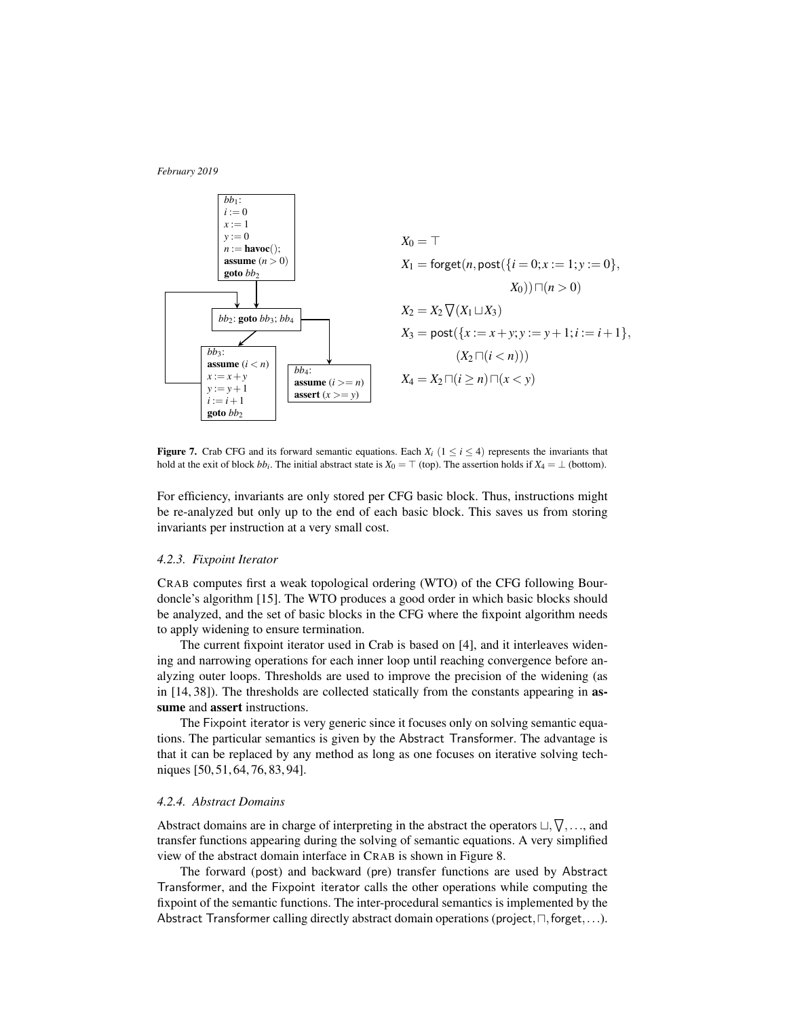

**Figure 7.** Crab CFG and its forward semantic equations. Each  $X_i$  ( $1 \le i \le 4$ ) represents the invariants that hold at the exit of block  $bb_i$ . The initial abstract state is  $X_0 = \top$  (top). The assertion holds if  $X_4 = \bot$  (bottom).

For efficiency, invariants are only stored per CFG basic block. Thus, instructions might be re-analyzed but only up to the end of each basic block. This saves us from storing invariants per instruction at a very small cost.

# *4.2.3. Fixpoint Iterator*

CRAB computes first a weak topological ordering (WTO) of the CFG following Bourdoncle's algorithm [15]. The WTO produces a good order in which basic blocks should be analyzed, and the set of basic blocks in the CFG where the fixpoint algorithm needs to apply widening to ensure termination.

The current fixpoint iterator used in Crab is based on [4], and it interleaves widening and narrowing operations for each inner loop until reaching convergence before analyzing outer loops. Thresholds are used to improve the precision of the widening (as in [14, 38]). The thresholds are collected statically from the constants appearing in assume and assert instructions.

The Fixpoint iterator is very generic since it focuses only on solving semantic equations. The particular semantics is given by the Abstract Transformer. The advantage is that it can be replaced by any method as long as one focuses on iterative solving techniques [50, 51, 64, 76, 83, 94].

# *4.2.4. Abstract Domains*

Abstract domains are in charge of interpreting in the abstract the operators  $\sqcup, \nabla, \ldots$ , and transfer functions appearing during the solving of semantic equations. A very simplified view of the abstract domain interface in CRAB is shown in Figure 8.

The forward (post) and backward (pre) transfer functions are used by Abstract Transformer, and the Fixpoint iterator calls the other operations while computing the fixpoint of the semantic functions. The inter-procedural semantics is implemented by the Abstract Transformer calling directly abstract domain operations (project, $\neg$ , forget,...).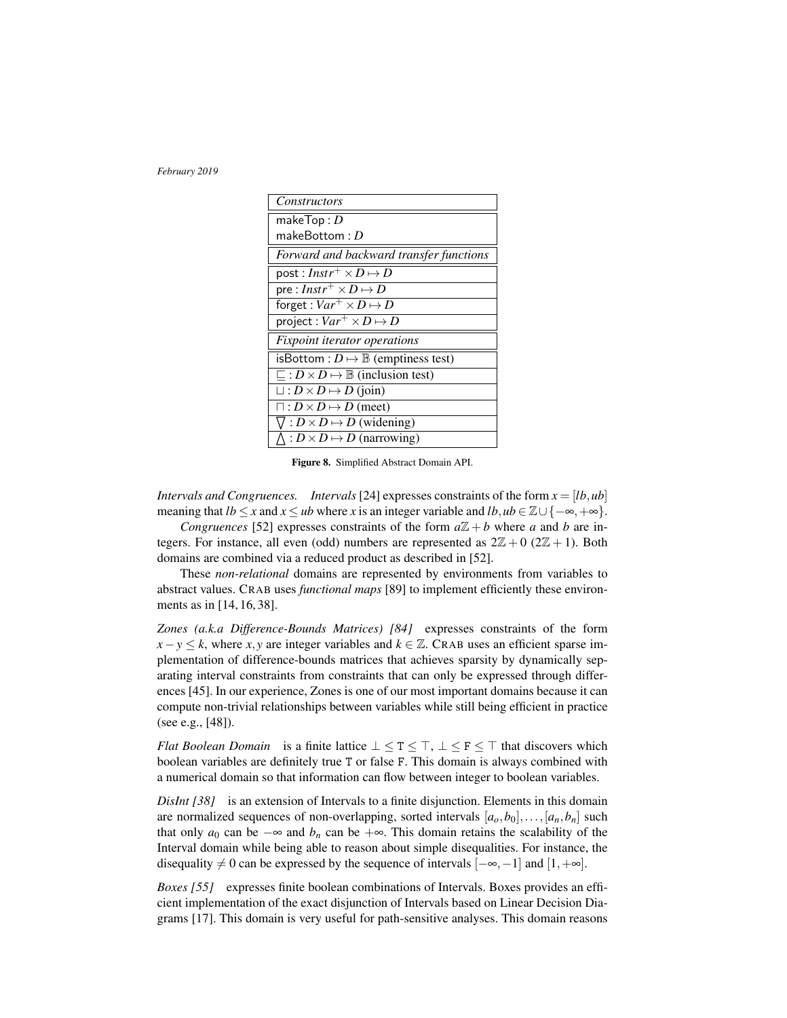| Constructors                                                              |  |
|---------------------------------------------------------------------------|--|
| make $Top: D$                                                             |  |
| make $\mathsf{Bottom}: D$                                                 |  |
| Forward and backward transfer functions                                   |  |
| post : $Instr^+\times D \mapsto D$                                        |  |
| $\overline{\mathsf{pre}}: \overline{\mathit{Instr}^+ \times D \mapsto D}$ |  |
| forget : $Var^+ \times D \mapsto D$                                       |  |
| project : $Var^{+} \times D \mapsto D$                                    |  |
| <b>Fixpoint iterator operations</b>                                       |  |
| isBottom: $D \mapsto \mathbb{B}$ (emptiness test)                         |  |
| $\sqsubseteq : D \times D \mapsto \mathbb{B}$ (inclusion test)            |  |
| $\Box: D \times D \mapsto D$ (join)                                       |  |
| $\Box: D \times D \mapsto D$ (meet)                                       |  |
| $\nabla: D \times D \mapsto D$ (widening)                                 |  |
| : $D \times D \mapsto D$ (narrowing)                                      |  |

Figure 8. Simplified Abstract Domain API.

*Intervals and Congruences. Intervals* [24] expresses constraints of the form *x* = [*lb*,*ub*] meaning that  $lb \le x$  and  $x \le ub$  where *x* is an integer variable and  $lb$ ,  $ub \in \mathbb{Z} \cup \{-\infty, +\infty\}$ .

*Congruences* [52] expresses constraints of the form  $a\mathbb{Z} + b$  where *a* and *b* are integers. For instance, all even (odd) numbers are represented as  $2\mathbb{Z}+0$  ( $2\mathbb{Z}+1$ ). Both domains are combined via a reduced product as described in [52].

These *non-relational* domains are represented by environments from variables to abstract values. CRAB uses *functional maps* [89] to implement efficiently these environments as in [14, 16, 38].

*Zones (a.k.a Difference-Bounds Matrices) [84]* expresses constraints of the form  $x - y \le k$ , where *x*, *y* are integer variables and  $k \in \mathbb{Z}$ . CRAB uses an efficient sparse implementation of difference-bounds matrices that achieves sparsity by dynamically separating interval constraints from constraints that can only be expressed through differences [45]. In our experience, Zones is one of our most important domains because it can compute non-trivial relationships between variables while still being efficient in practice (see e.g., [48]).

*Flat Boolean Domain* is a finite lattice  $\bot \leq T \leq T$ ,  $\bot \leq F \leq T$  that discovers which boolean variables are definitely true T or false F. This domain is always combined with a numerical domain so that information can flow between integer to boolean variables.

*DisInt [38]* is an extension of Intervals to a finite disjunction. Elements in this domain are normalized sequences of non-overlapping, sorted intervals  $[a_0, b_0], \ldots, [a_n, b_n]$  such that only  $a_0$  can be  $-\infty$  and  $b_n$  can be  $+\infty$ . This domain retains the scalability of the Interval domain while being able to reason about simple disequalities. For instance, the disequality  $\neq 0$  can be expressed by the sequence of intervals  $[-\infty, -1]$  and  $[1, +\infty]$ .

*Boxes* [55] expresses finite boolean combinations of Intervals. Boxes provides an efficient implementation of the exact disjunction of Intervals based on Linear Decision Diagrams [17]. This domain is very useful for path-sensitive analyses. This domain reasons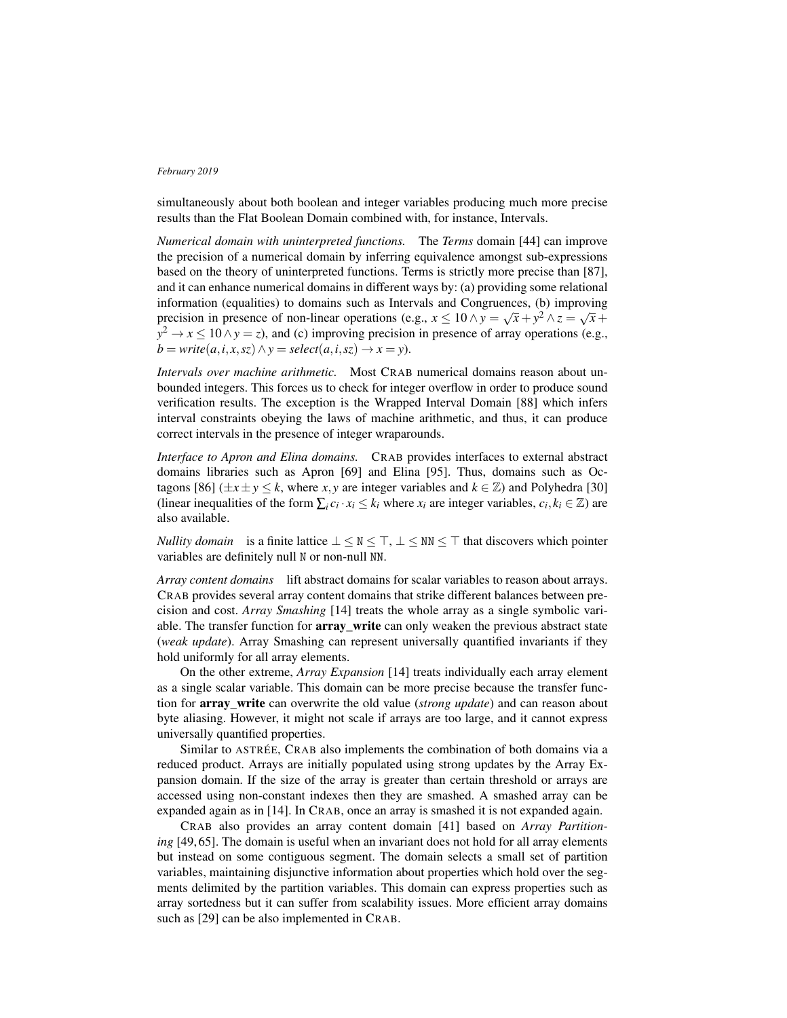simultaneously about both boolean and integer variables producing much more precise results than the Flat Boolean Domain combined with, for instance, Intervals.

*Numerical domain with uninterpreted functions.* The *Terms* domain [44] can improve the precision of a numerical domain by inferring equivalence amongst sub-expressions based on the theory of uninterpreted functions. Terms is strictly more precise than [87], and it can enhance numerical domains in different ways by: (a) providing some relational information (equalities) to domains such as Intervals and Congruences, (b) improving precision in presence of non-linear operations (e.g.,  $x \le 10 \land y = \sqrt{x} + y^2 \land z = \sqrt{x} +$  $y^2 \to x \le 10 \land y = z$ ), and (c) improving precision in presence of array operations (e.g.,  $b = \text{write}(a, i, x, sz) \land y = \text{select}(a, i, sz) \rightarrow x = y$ .

*Intervals over machine arithmetic.* Most CRAB numerical domains reason about unbounded integers. This forces us to check for integer overflow in order to produce sound verification results. The exception is the Wrapped Interval Domain [88] which infers interval constraints obeying the laws of machine arithmetic, and thus, it can produce correct intervals in the presence of integer wraparounds.

*Interface to Apron and Elina domains.* CRAB provides interfaces to external abstract domains libraries such as Apron [69] and Elina [95]. Thus, domains such as Octagons [86] ( $\pm x \pm y \le k$ , where *x*, *y* are integer variables and  $k \in \mathbb{Z}$ ) and Polyhedra [30] (linear inequalities of the form  $\sum_i c_i \cdot x_i \leq k_i$  where  $x_i$  are integer variables,  $c_i, k_i \in \mathbb{Z}$ ) are also available.

*Nullity domain* is a finite lattice  $\perp \le N \le T$ ,  $\perp \le NN \le T$  that discovers which pointer variables are definitely null N or non-null NN.

*Array content domains* lift abstract domains for scalar variables to reason about arrays. CRAB provides several array content domains that strike different balances between precision and cost. *Array Smashing* [14] treats the whole array as a single symbolic variable. The transfer function for **array\_write** can only weaken the previous abstract state (*weak update*). Array Smashing can represent universally quantified invariants if they hold uniformly for all array elements.

On the other extreme, *Array Expansion* [14] treats individually each array element as a single scalar variable. This domain can be more precise because the transfer function for array\_write can overwrite the old value (*strong update*) and can reason about byte aliasing. However, it might not scale if arrays are too large, and it cannot express universally quantified properties.

Similar to ASTRÉE, CRAB also implements the combination of both domains via a reduced product. Arrays are initially populated using strong updates by the Array Expansion domain. If the size of the array is greater than certain threshold or arrays are accessed using non-constant indexes then they are smashed. A smashed array can be expanded again as in [14]. In CRAB, once an array is smashed it is not expanded again.

CRAB also provides an array content domain [41] based on *Array Partitioning* [49, 65]. The domain is useful when an invariant does not hold for all array elements but instead on some contiguous segment. The domain selects a small set of partition variables, maintaining disjunctive information about properties which hold over the segments delimited by the partition variables. This domain can express properties such as array sortedness but it can suffer from scalability issues. More efficient array domains such as [29] can be also implemented in CRAB.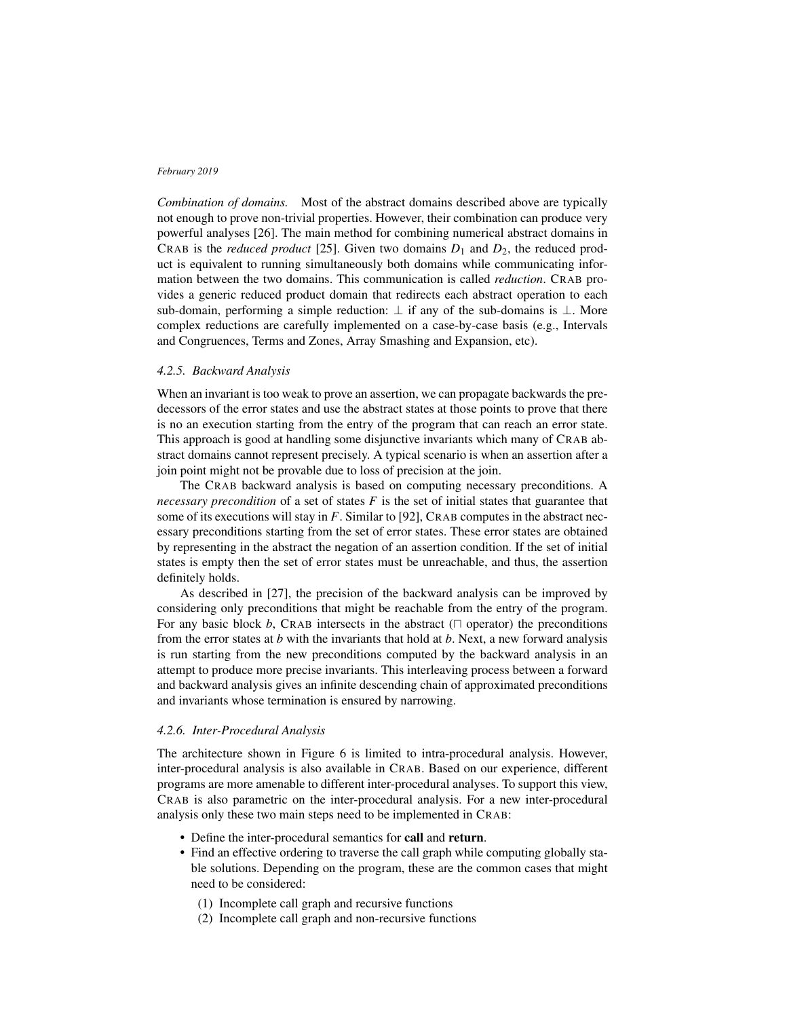*Combination of domains.* Most of the abstract domains described above are typically not enough to prove non-trivial properties. However, their combination can produce very powerful analyses [26]. The main method for combining numerical abstract domains in CRAB is the *reduced product* [25]. Given two domains  $D_1$  and  $D_2$ , the reduced product is equivalent to running simultaneously both domains while communicating information between the two domains. This communication is called *reduction*. CRAB provides a generic reduced product domain that redirects each abstract operation to each sub-domain, performing a simple reduction:  $\perp$  if any of the sub-domains is  $\perp$ . More complex reductions are carefully implemented on a case-by-case basis (e.g., Intervals and Congruences, Terms and Zones, Array Smashing and Expansion, etc).

# *4.2.5. Backward Analysis*

When an invariant is too weak to prove an assertion, we can propagate backwards the predecessors of the error states and use the abstract states at those points to prove that there is no an execution starting from the entry of the program that can reach an error state. This approach is good at handling some disjunctive invariants which many of CRAB abstract domains cannot represent precisely. A typical scenario is when an assertion after a join point might not be provable due to loss of precision at the join.

The CRAB backward analysis is based on computing necessary preconditions. A *necessary precondition* of a set of states *F* is the set of initial states that guarantee that some of its executions will stay in *F*. Similar to [92], CRAB computes in the abstract necessary preconditions starting from the set of error states. These error states are obtained by representing in the abstract the negation of an assertion condition. If the set of initial states is empty then the set of error states must be unreachable, and thus, the assertion definitely holds.

As described in [27], the precision of the backward analysis can be improved by considering only preconditions that might be reachable from the entry of the program. For any basic block *b*, CRAB intersects in the abstract  $(\Box$  operator) the preconditions from the error states at *b* with the invariants that hold at *b*. Next, a new forward analysis is run starting from the new preconditions computed by the backward analysis in an attempt to produce more precise invariants. This interleaving process between a forward and backward analysis gives an infinite descending chain of approximated preconditions and invariants whose termination is ensured by narrowing.

## *4.2.6. Inter-Procedural Analysis*

The architecture shown in Figure 6 is limited to intra-procedural analysis. However, inter-procedural analysis is also available in CRAB. Based on our experience, different programs are more amenable to different inter-procedural analyses. To support this view, CRAB is also parametric on the inter-procedural analysis. For a new inter-procedural analysis only these two main steps need to be implemented in CRAB:

- Define the inter-procedural semantics for call and return.
- Find an effective ordering to traverse the call graph while computing globally stable solutions. Depending on the program, these are the common cases that might need to be considered:
	- (1) Incomplete call graph and recursive functions
	- (2) Incomplete call graph and non-recursive functions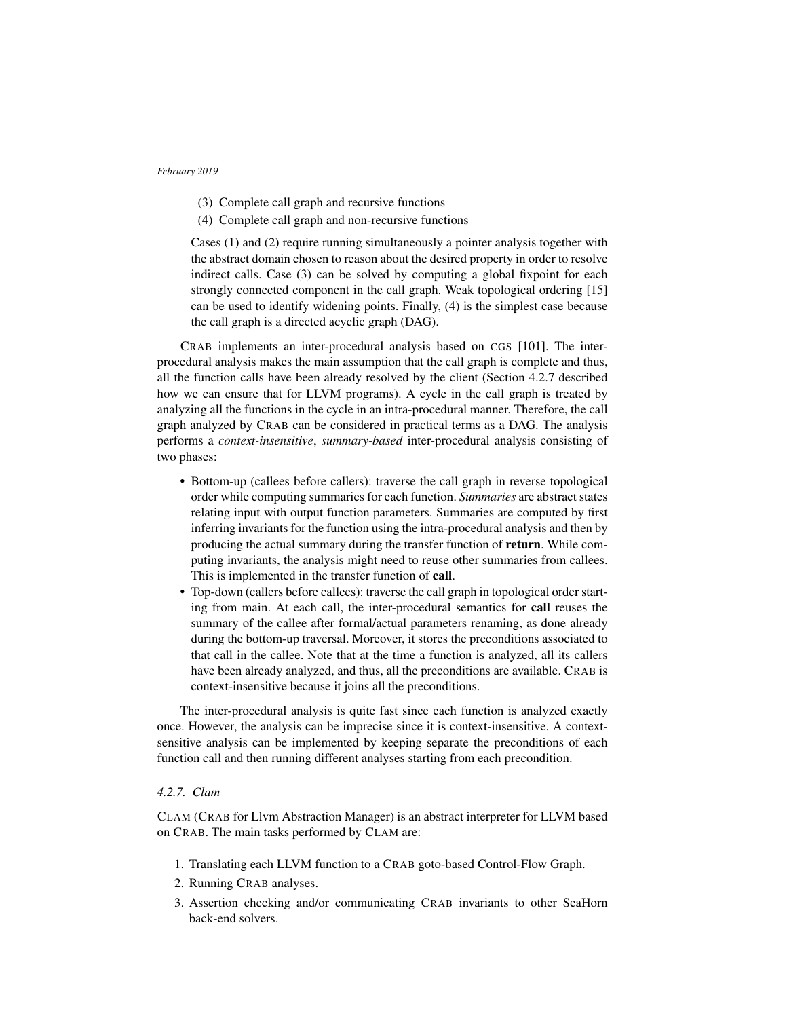- (3) Complete call graph and recursive functions
- (4) Complete call graph and non-recursive functions

Cases (1) and (2) require running simultaneously a pointer analysis together with the abstract domain chosen to reason about the desired property in order to resolve indirect calls. Case (3) can be solved by computing a global fixpoint for each strongly connected component in the call graph. Weak topological ordering [15] can be used to identify widening points. Finally, (4) is the simplest case because the call graph is a directed acyclic graph (DAG).

CRAB implements an inter-procedural analysis based on CGS [101]. The interprocedural analysis makes the main assumption that the call graph is complete and thus, all the function calls have been already resolved by the client (Section 4.2.7 described how we can ensure that for LLVM programs). A cycle in the call graph is treated by analyzing all the functions in the cycle in an intra-procedural manner. Therefore, the call graph analyzed by CRAB can be considered in practical terms as a DAG. The analysis performs a *context-insensitive*, *summary-based* inter-procedural analysis consisting of two phases:

- Bottom-up (callees before callers): traverse the call graph in reverse topological order while computing summaries for each function. *Summaries* are abstract states relating input with output function parameters. Summaries are computed by first inferring invariants for the function using the intra-procedural analysis and then by producing the actual summary during the transfer function of return. While computing invariants, the analysis might need to reuse other summaries from callees. This is implemented in the transfer function of call.
- Top-down (callers before callees): traverse the call graph in topological order starting from main. At each call, the inter-procedural semantics for call reuses the summary of the callee after formal/actual parameters renaming, as done already during the bottom-up traversal. Moreover, it stores the preconditions associated to that call in the callee. Note that at the time a function is analyzed, all its callers have been already analyzed, and thus, all the preconditions are available. CRAB is context-insensitive because it joins all the preconditions.

The inter-procedural analysis is quite fast since each function is analyzed exactly once. However, the analysis can be imprecise since it is context-insensitive. A contextsensitive analysis can be implemented by keeping separate the preconditions of each function call and then running different analyses starting from each precondition.

# *4.2.7. Clam*

CLAM (CRAB for Llvm Abstraction Manager) is an abstract interpreter for LLVM based on CRAB. The main tasks performed by CLAM are:

- 1. Translating each LLVM function to a CRAB goto-based Control-Flow Graph.
- 2. Running CRAB analyses.
- 3. Assertion checking and/or communicating CRAB invariants to other SeaHorn back-end solvers.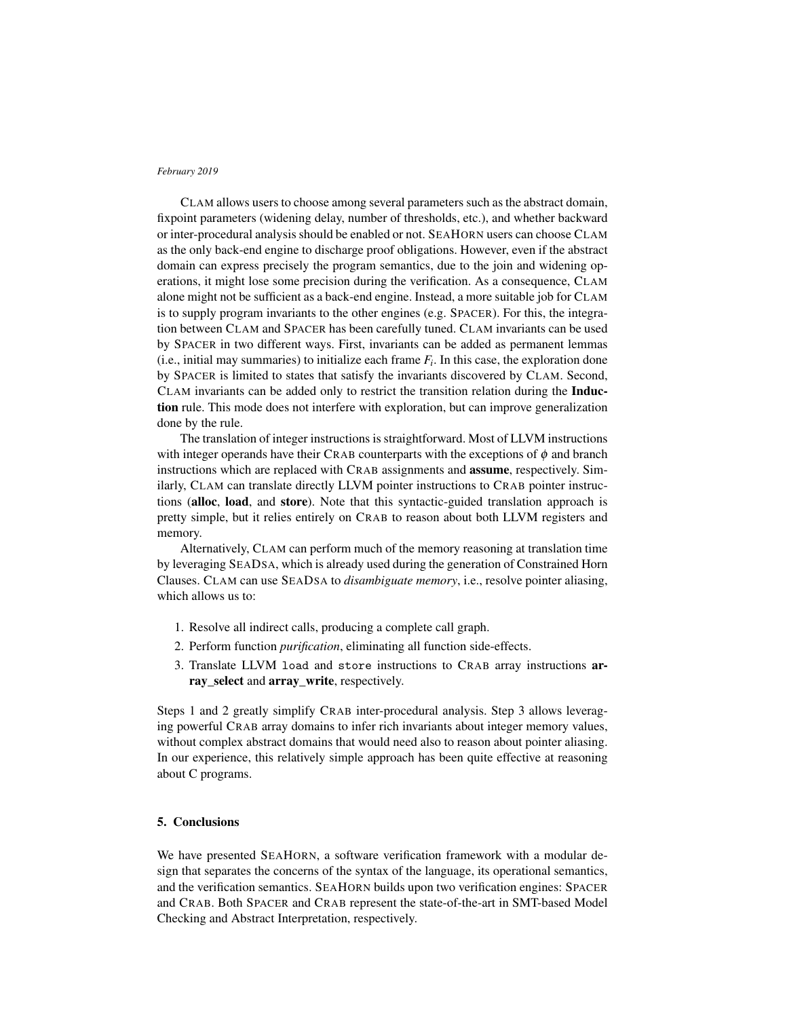CLAM allows users to choose among several parameters such as the abstract domain, fixpoint parameters (widening delay, number of thresholds, etc.), and whether backward or inter-procedural analysis should be enabled or not. SEAHORN users can choose CLAM as the only back-end engine to discharge proof obligations. However, even if the abstract domain can express precisely the program semantics, due to the join and widening operations, it might lose some precision during the verification. As a consequence, CLAM alone might not be sufficient as a back-end engine. Instead, a more suitable job for CLAM is to supply program invariants to the other engines (e.g. SPACER). For this, the integration between CLAM and SPACER has been carefully tuned. CLAM invariants can be used by SPACER in two different ways. First, invariants can be added as permanent lemmas  $(i.e., initial may summaries)$  to initialize each frame  $F_i$ . In this case, the exploration done by SPACER is limited to states that satisfy the invariants discovered by CLAM. Second, CLAM invariants can be added only to restrict the transition relation during the Induction rule. This mode does not interfere with exploration, but can improve generalization done by the rule.

The translation of integer instructions is straightforward. Most of LLVM instructions with integer operands have their CRAB counterparts with the exceptions of  $\phi$  and branch instructions which are replaced with CRAB assignments and assume, respectively. Similarly, CLAM can translate directly LLVM pointer instructions to CRAB pointer instructions (alloc, load, and store). Note that this syntactic-guided translation approach is pretty simple, but it relies entirely on CRAB to reason about both LLVM registers and memory.

Alternatively, CLAM can perform much of the memory reasoning at translation time by leveraging SEADSA, which is already used during the generation of Constrained Horn Clauses. CLAM can use SEADSA to *disambiguate memory*, i.e., resolve pointer aliasing, which allows us to:

- 1. Resolve all indirect calls, producing a complete call graph.
- 2. Perform function *purification*, eliminating all function side-effects.
- 3. Translate LLVM load and store instructions to CRAB array instructions array\_select and array\_write, respectively.

Steps 1 and 2 greatly simplify CRAB inter-procedural analysis. Step 3 allows leveraging powerful CRAB array domains to infer rich invariants about integer memory values, without complex abstract domains that would need also to reason about pointer aliasing. In our experience, this relatively simple approach has been quite effective at reasoning about C programs.

# 5. Conclusions

We have presented SEAHORN, a software verification framework with a modular design that separates the concerns of the syntax of the language, its operational semantics, and the verification semantics. SEAHORN builds upon two verification engines: SPACER and CRAB. Both SPACER and CRAB represent the state-of-the-art in SMT-based Model Checking and Abstract Interpretation, respectively.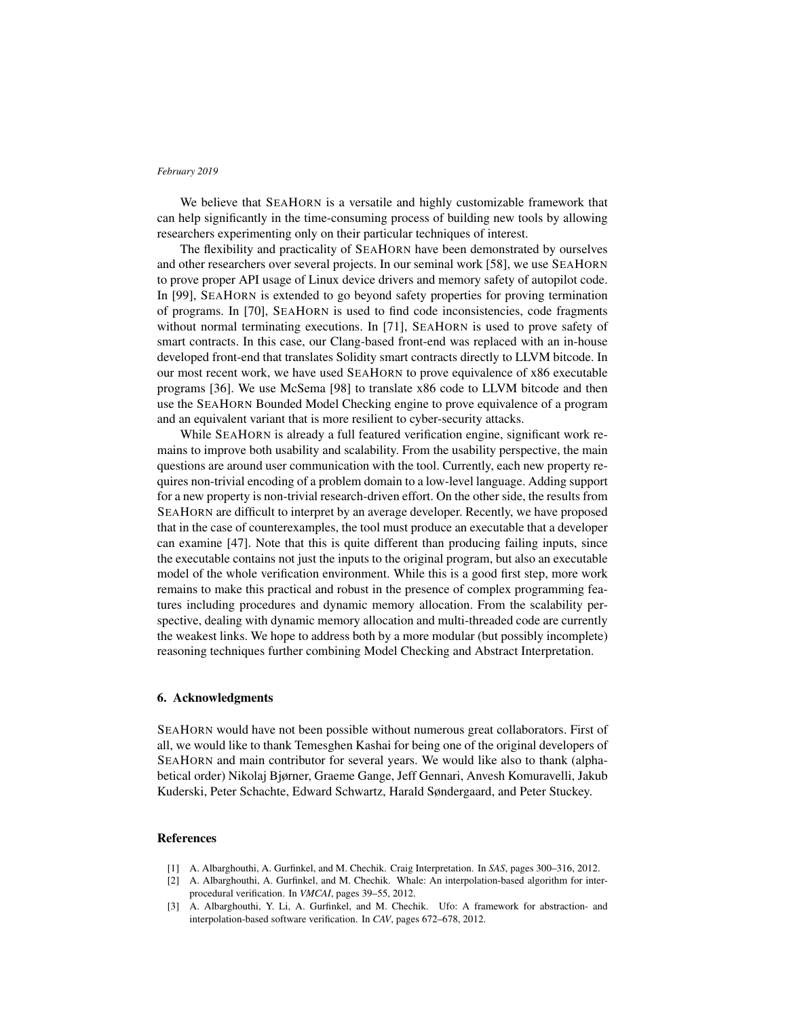We believe that SEAHORN is a versatile and highly customizable framework that can help significantly in the time-consuming process of building new tools by allowing researchers experimenting only on their particular techniques of interest.

The flexibility and practicality of SEAHORN have been demonstrated by ourselves and other researchers over several projects. In our seminal work [58], we use SEAHORN to prove proper API usage of Linux device drivers and memory safety of autopilot code. In [99], SEAHORN is extended to go beyond safety properties for proving termination of programs. In [70], SEAHORN is used to find code inconsistencies, code fragments without normal terminating executions. In [71], SEAHORN is used to prove safety of smart contracts. In this case, our Clang-based front-end was replaced with an in-house developed front-end that translates Solidity smart contracts directly to LLVM bitcode. In our most recent work, we have used SEAHORN to prove equivalence of x86 executable programs [36]. We use McSema [98] to translate x86 code to LLVM bitcode and then use the SEAHORN Bounded Model Checking engine to prove equivalence of a program and an equivalent variant that is more resilient to cyber-security attacks.

While SEAHORN is already a full featured verification engine, significant work remains to improve both usability and scalability. From the usability perspective, the main questions are around user communication with the tool. Currently, each new property requires non-trivial encoding of a problem domain to a low-level language. Adding support for a new property is non-trivial research-driven effort. On the other side, the results from SEAHORN are difficult to interpret by an average developer. Recently, we have proposed that in the case of counterexamples, the tool must produce an executable that a developer can examine [47]. Note that this is quite different than producing failing inputs, since the executable contains not just the inputs to the original program, but also an executable model of the whole verification environment. While this is a good first step, more work remains to make this practical and robust in the presence of complex programming features including procedures and dynamic memory allocation. From the scalability perspective, dealing with dynamic memory allocation and multi-threaded code are currently the weakest links. We hope to address both by a more modular (but possibly incomplete) reasoning techniques further combining Model Checking and Abstract Interpretation.

# 6. Acknowledgments

SEAHORN would have not been possible without numerous great collaborators. First of all, we would like to thank Temesghen Kashai for being one of the original developers of SEAHORN and main contributor for several years. We would like also to thank (alphabetical order) Nikolaj Bjørner, Graeme Gange, Jeff Gennari, Anvesh Komuravelli, Jakub Kuderski, Peter Schachte, Edward Schwartz, Harald Søndergaard, and Peter Stuckey.

# References

- [1] A. Albarghouthi, A. Gurfinkel, and M. Chechik. Craig Interpretation. In *SAS*, pages 300–316, 2012.
- [2] A. Albarghouthi, A. Gurfinkel, and M. Chechik. Whale: An interpolation-based algorithm for interprocedural verification. In *VMCAI*, pages 39–55, 2012.
- [3] A. Albarghouthi, Y. Li, A. Gurfinkel, and M. Chechik. Ufo: A framework for abstraction- and interpolation-based software verification. In *CAV*, pages 672–678, 2012.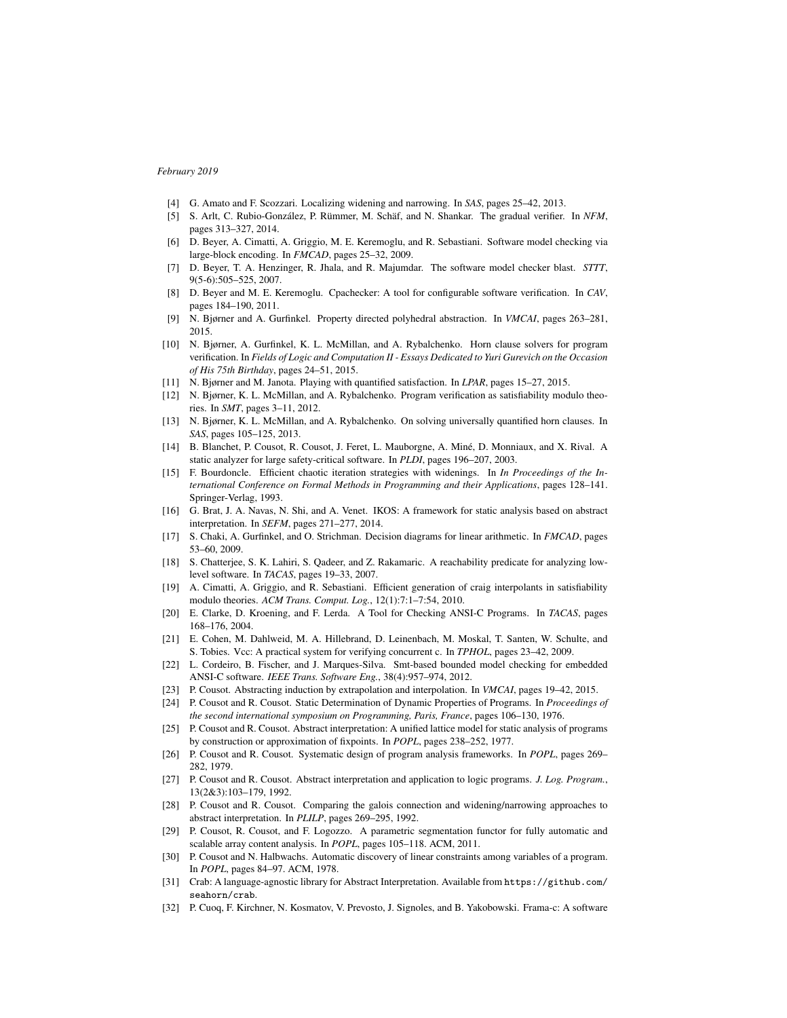- [4] G. Amato and F. Scozzari. Localizing widening and narrowing. In *SAS*, pages 25–42, 2013.
- [5] S. Arlt, C. Rubio-González, P. Rümmer, M. Schäf, and N. Shankar. The gradual verifier. In *NFM*, pages 313–327, 2014.
- [6] D. Beyer, A. Cimatti, A. Griggio, M. E. Keremoglu, and R. Sebastiani. Software model checking via large-block encoding. In *FMCAD*, pages 25–32, 2009.
- [7] D. Beyer, T. A. Henzinger, R. Jhala, and R. Majumdar. The software model checker blast. *STTT*, 9(5-6):505–525, 2007.
- [8] D. Beyer and M. E. Keremoglu. Cpachecker: A tool for configurable software verification. In *CAV*, pages 184–190, 2011.
- [9] N. Bjørner and A. Gurfinkel. Property directed polyhedral abstraction. In *VMCAI*, pages 263–281, 2015.
- [10] N. Bjørner, A. Gurfinkel, K. L. McMillan, and A. Rybalchenko. Horn clause solvers for program verification. In *Fields of Logic and Computation II - Essays Dedicated to Yuri Gurevich on the Occasion of His 75th Birthday*, pages 24–51, 2015.
- [11] N. Bjørner and M. Janota. Playing with quantified satisfaction. In *LPAR*, pages 15–27, 2015.
- [12] N. Bjørner, K. L. McMillan, and A. Rybalchenko. Program verification as satisfiability modulo theories. In *SMT*, pages 3–11, 2012.
- [13] N. Bjørner, K. L. McMillan, and A. Rybalchenko. On solving universally quantified horn clauses. In *SAS*, pages 105–125, 2013.
- [14] B. Blanchet, P. Cousot, R. Cousot, J. Feret, L. Mauborgne, A. Miné, D. Monniaux, and X. Rival. A static analyzer for large safety-critical software. In *PLDI*, pages 196–207, 2003.
- [15] F. Bourdoncle. Efficient chaotic iteration strategies with widenings. In *In Proceedings of the International Conference on Formal Methods in Programming and their Applications*, pages 128–141. Springer-Verlag, 1993.
- [16] G. Brat, J. A. Navas, N. Shi, and A. Venet. IKOS: A framework for static analysis based on abstract interpretation. In *SEFM*, pages 271–277, 2014.
- [17] S. Chaki, A. Gurfinkel, and O. Strichman. Decision diagrams for linear arithmetic. In *FMCAD*, pages 53–60, 2009.
- [18] S. Chatterjee, S. K. Lahiri, S. Qadeer, and Z. Rakamaric. A reachability predicate for analyzing lowlevel software. In *TACAS*, pages 19–33, 2007.
- [19] A. Cimatti, A. Griggio, and R. Sebastiani. Efficient generation of craig interpolants in satisfiability modulo theories. *ACM Trans. Comput. Log.*, 12(1):7:1–7:54, 2010.
- [20] E. Clarke, D. Kroening, and F. Lerda. A Tool for Checking ANSI-C Programs. In *TACAS*, pages 168–176, 2004.
- [21] E. Cohen, M. Dahlweid, M. A. Hillebrand, D. Leinenbach, M. Moskal, T. Santen, W. Schulte, and S. Tobies. Vcc: A practical system for verifying concurrent c. In *TPHOL*, pages 23–42, 2009.
- [22] L. Cordeiro, B. Fischer, and J. Marques-Silva. Smt-based bounded model checking for embedded ANSI-C software. *IEEE Trans. Software Eng.*, 38(4):957–974, 2012.
- [23] P. Cousot. Abstracting induction by extrapolation and interpolation. In *VMCAI*, pages 19–42, 2015.
- [24] P. Cousot and R. Cousot. Static Determination of Dynamic Properties of Programs. In *Proceedings of the second international symposium on Programming, Paris, France*, pages 106–130, 1976.
- [25] P. Cousot and R. Cousot. Abstract interpretation: A unified lattice model for static analysis of programs by construction or approximation of fixpoints. In *POPL*, pages 238–252, 1977.
- [26] P. Cousot and R. Cousot. Systematic design of program analysis frameworks. In *POPL*, pages 269– 282, 1979.
- [27] P. Cousot and R. Cousot. Abstract interpretation and application to logic programs. *J. Log. Program.*, 13(2&3):103–179, 1992.
- [28] P. Cousot and R. Cousot. Comparing the galois connection and widening/narrowing approaches to abstract interpretation. In *PLILP*, pages 269–295, 1992.
- [29] P. Cousot, R. Cousot, and F. Logozzo. A parametric segmentation functor for fully automatic and scalable array content analysis. In *POPL*, pages 105–118. ACM, 2011.
- [30] P. Cousot and N. Halbwachs. Automatic discovery of linear constraints among variables of a program. In *POPL*, pages 84–97. ACM, 1978.
- [31] Crab: A language-agnostic library for Abstract Interpretation. Available from https://github.com/ seahorn/crab.
- [32] P. Cuoq, F. Kirchner, N. Kosmatov, V. Prevosto, J. Signoles, and B. Yakobowski. Frama-c: A software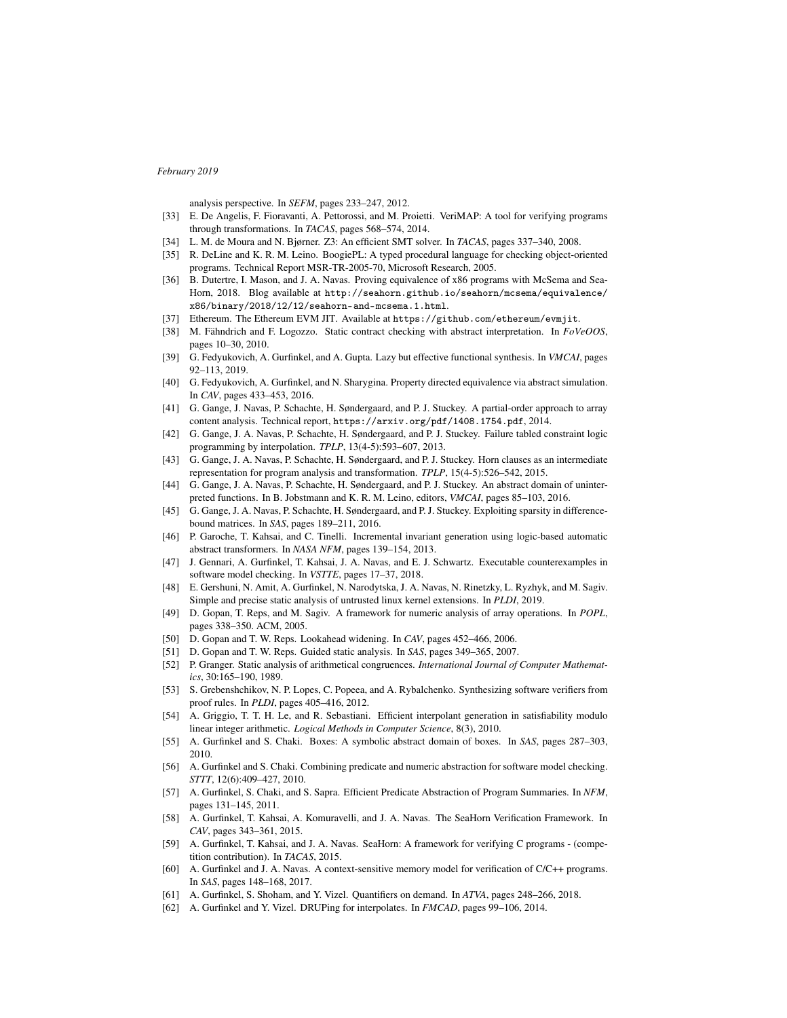analysis perspective. In *SEFM*, pages 233–247, 2012.

- [33] E. De Angelis, F. Fioravanti, A. Pettorossi, and M. Proietti. VeriMAP: A tool for verifying programs through transformations. In *TACAS*, pages 568–574, 2014.
- [34] L. M. de Moura and N. Bjørner. Z3: An efficient SMT solver. In *TACAS*, pages 337–340, 2008.
- [35] R. DeLine and K. R. M. Leino. BoogiePL: A typed procedural language for checking object-oriented programs. Technical Report MSR-TR-2005-70, Microsoft Research, 2005.
- [36] B. Dutertre, I. Mason, and J. A. Navas. Proving equivalence of x86 programs with McSema and Sea-Horn, 2018. Blog available at http://seahorn.github.io/seahorn/mcsema/equivalence/ x86/binary/2018/12/12/seahorn-and-mcsema.1.html.
- [37] Ethereum. The Ethereum EVM JIT. Available at https://github.com/ethereum/evmjit.
- [38] M. Fähndrich and F. Logozzo. Static contract checking with abstract interpretation. In *FoVeOOS*, pages 10–30, 2010.
- [39] G. Fedyukovich, A. Gurfinkel, and A. Gupta. Lazy but effective functional synthesis. In *VMCAI*, pages 92–113, 2019.
- [40] G. Fedyukovich, A. Gurfinkel, and N. Sharygina. Property directed equivalence via abstract simulation. In *CAV*, pages 433–453, 2016.
- [41] G. Gange, J. Navas, P. Schachte, H. Søndergaard, and P. J. Stuckey. A partial-order approach to array content analysis. Technical report, https://arxiv.org/pdf/1408.1754.pdf, 2014.
- [42] G. Gange, J. A. Navas, P. Schachte, H. Søndergaard, and P. J. Stuckey. Failure tabled constraint logic programming by interpolation. *TPLP*, 13(4-5):593–607, 2013.
- [43] G. Gange, J. A. Navas, P. Schachte, H. Søndergaard, and P. J. Stuckey. Horn clauses as an intermediate representation for program analysis and transformation. *TPLP*, 15(4-5):526–542, 2015.
- [44] G. Gange, J. A. Navas, P. Schachte, H. Søndergaard, and P. J. Stuckey. An abstract domain of uninterpreted functions. In B. Jobstmann and K. R. M. Leino, editors, *VMCAI*, pages 85–103, 2016.
- [45] G. Gange, J. A. Navas, P. Schachte, H. Søndergaard, and P. J. Stuckey. Exploiting sparsity in differencebound matrices. In *SAS*, pages 189–211, 2016.
- [46] P. Garoche, T. Kahsai, and C. Tinelli. Incremental invariant generation using logic-based automatic abstract transformers. In *NASA NFM*, pages 139–154, 2013.
- [47] J. Gennari, A. Gurfinkel, T. Kahsai, J. A. Navas, and E. J. Schwartz. Executable counterexamples in software model checking. In *VSTTE*, pages 17–37, 2018.
- [48] E. Gershuni, N. Amit, A. Gurfinkel, N. Narodytska, J. A. Navas, N. Rinetzky, L. Ryzhyk, and M. Sagiv. Simple and precise static analysis of untrusted linux kernel extensions. In *PLDI*, 2019.
- [49] D. Gopan, T. Reps, and M. Sagiv. A framework for numeric analysis of array operations. In *POPL*, pages 338–350. ACM, 2005.
- [50] D. Gopan and T. W. Reps. Lookahead widening. In *CAV*, pages 452–466, 2006.
- [51] D. Gopan and T. W. Reps. Guided static analysis. In *SAS*, pages 349–365, 2007.
- [52] P. Granger. Static analysis of arithmetical congruences. *International Journal of Computer Mathematics*, 30:165–190, 1989.
- [53] S. Grebenshchikov, N. P. Lopes, C. Popeea, and A. Rybalchenko. Synthesizing software verifiers from proof rules. In *PLDI*, pages 405–416, 2012.
- [54] A. Griggio, T. T. H. Le, and R. Sebastiani. Efficient interpolant generation in satisfiability modulo linear integer arithmetic. *Logical Methods in Computer Science*, 8(3), 2010.
- [55] A. Gurfinkel and S. Chaki. Boxes: A symbolic abstract domain of boxes. In *SAS*, pages 287–303, 2010.
- [56] A. Gurfinkel and S. Chaki. Combining predicate and numeric abstraction for software model checking. *STTT*, 12(6):409–427, 2010.
- [57] A. Gurfinkel, S. Chaki, and S. Sapra. Efficient Predicate Abstraction of Program Summaries. In *NFM*, pages 131–145, 2011.
- [58] A. Gurfinkel, T. Kahsai, A. Komuravelli, and J. A. Navas. The SeaHorn Verification Framework. In *CAV*, pages 343–361, 2015.
- [59] A. Gurfinkel, T. Kahsai, and J. A. Navas. SeaHorn: A framework for verifying C programs (competition contribution). In *TACAS*, 2015.
- [60] A. Gurfinkel and J. A. Navas. A context-sensitive memory model for verification of C/C++ programs. In *SAS*, pages 148–168, 2017.
- [61] A. Gurfinkel, S. Shoham, and Y. Vizel. Quantifiers on demand. In *ATVA*, pages 248–266, 2018.
- [62] A. Gurfinkel and Y. Vizel. DRUPing for interpolates. In *FMCAD*, pages 99–106, 2014.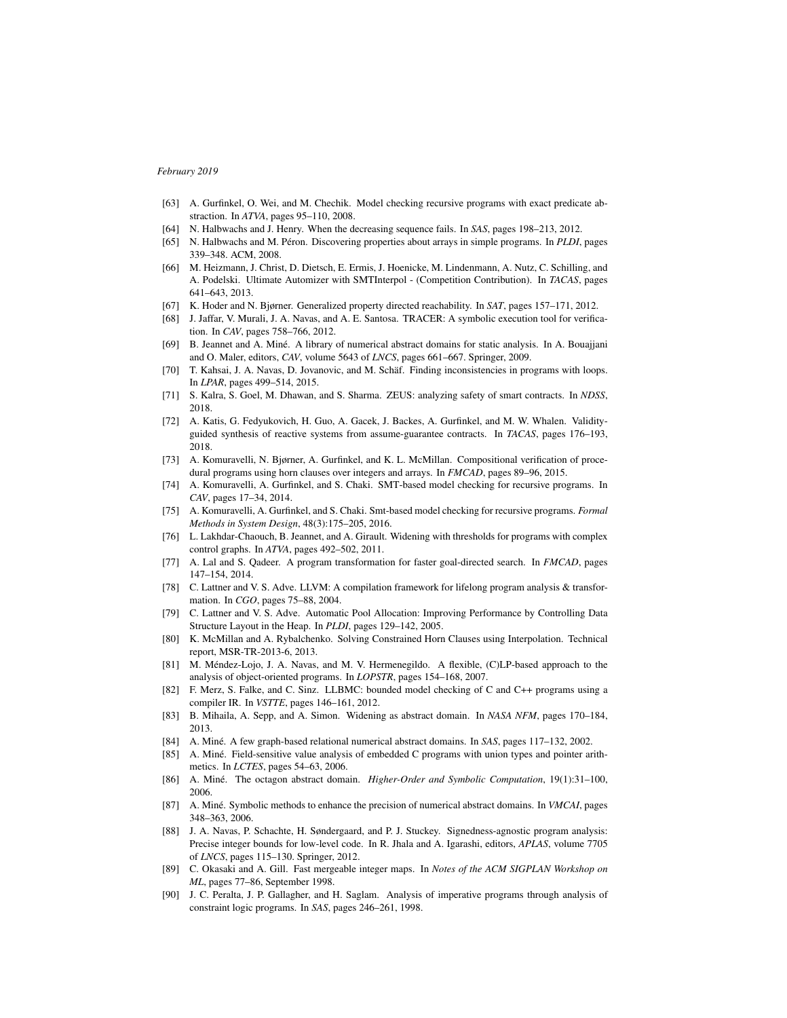- [63] A. Gurfinkel, O. Wei, and M. Chechik. Model checking recursive programs with exact predicate abstraction. In *ATVA*, pages 95–110, 2008.
- [64] N. Halbwachs and J. Henry. When the decreasing sequence fails. In *SAS*, pages 198–213, 2012.
- [65] N. Halbwachs and M. Péron. Discovering properties about arrays in simple programs. In *PLDI*, pages 339–348. ACM, 2008.
- [66] M. Heizmann, J. Christ, D. Dietsch, E. Ermis, J. Hoenicke, M. Lindenmann, A. Nutz, C. Schilling, and A. Podelski. Ultimate Automizer with SMTInterpol - (Competition Contribution). In *TACAS*, pages 641–643, 2013.
- [67] K. Hoder and N. Bjørner. Generalized property directed reachability. In *SAT*, pages 157–171, 2012.
- [68] J. Jaffar, V. Murali, J. A. Navas, and A. E. Santosa. TRACER: A symbolic execution tool for verification. In *CAV*, pages 758–766, 2012.
- [69] B. Jeannet and A. Miné. A library of numerical abstract domains for static analysis. In A. Bouajjani and O. Maler, editors, *CAV*, volume 5643 of *LNCS*, pages 661–667. Springer, 2009.
- [70] T. Kahsai, J. A. Navas, D. Jovanovic, and M. Schäf. Finding inconsistencies in programs with loops. In *LPAR*, pages 499–514, 2015.
- [71] S. Kalra, S. Goel, M. Dhawan, and S. Sharma. ZEUS: analyzing safety of smart contracts. In *NDSS*, 2018.
- [72] A. Katis, G. Fedyukovich, H. Guo, A. Gacek, J. Backes, A. Gurfinkel, and M. W. Whalen. Validityguided synthesis of reactive systems from assume-guarantee contracts. In *TACAS*, pages 176–193, 2018.
- [73] A. Komuravelli, N. Bjørner, A. Gurfinkel, and K. L. McMillan. Compositional verification of procedural programs using horn clauses over integers and arrays. In *FMCAD*, pages 89–96, 2015.
- [74] A. Komuravelli, A. Gurfinkel, and S. Chaki. SMT-based model checking for recursive programs. In *CAV*, pages 17–34, 2014.
- [75] A. Komuravelli, A. Gurfinkel, and S. Chaki. Smt-based model checking for recursive programs. *Formal Methods in System Design*, 48(3):175–205, 2016.
- [76] L. Lakhdar-Chaouch, B. Jeannet, and A. Girault. Widening with thresholds for programs with complex control graphs. In *ATVA*, pages 492–502, 2011.
- [77] A. Lal and S. Qadeer. A program transformation for faster goal-directed search. In *FMCAD*, pages 147–154, 2014.
- [78] C. Lattner and V. S. Adve. LLVM: A compilation framework for lifelong program analysis & transformation. In *CGO*, pages 75–88, 2004.
- [79] C. Lattner and V. S. Adve. Automatic Pool Allocation: Improving Performance by Controlling Data Structure Layout in the Heap. In *PLDI*, pages 129–142, 2005.
- [80] K. McMillan and A. Rybalchenko. Solving Constrained Horn Clauses using Interpolation. Technical report, MSR-TR-2013-6, 2013.
- [81] M. Méndez-Lojo, J. A. Navas, and M. V. Hermenegildo. A flexible, (C)LP-based approach to the analysis of object-oriented programs. In *LOPSTR*, pages 154–168, 2007.
- [82] F. Merz, S. Falke, and C. Sinz. LLBMC: bounded model checking of C and C++ programs using a compiler IR. In *VSTTE*, pages 146–161, 2012.
- [83] B. Mihaila, A. Sepp, and A. Simon. Widening as abstract domain. In *NASA NFM*, pages 170–184, 2013.
- [84] A. Miné. A few graph-based relational numerical abstract domains. In *SAS*, pages 117–132, 2002.
- [85] A. Miné. Field-sensitive value analysis of embedded C programs with union types and pointer arithmetics. In *LCTES*, pages 54–63, 2006.
- [86] A. Miné. The octagon abstract domain. *Higher-Order and Symbolic Computation*, 19(1):31–100, 2006.
- [87] A. Miné. Symbolic methods to enhance the precision of numerical abstract domains. In *VMCAI*, pages 348–363, 2006.
- [88] J. A. Navas, P. Schachte, H. Søndergaard, and P. J. Stuckey. Signedness-agnostic program analysis: Precise integer bounds for low-level code. In R. Jhala and A. Igarashi, editors, *APLAS*, volume 7705 of *LNCS*, pages 115–130. Springer, 2012.
- [89] C. Okasaki and A. Gill. Fast mergeable integer maps. In *Notes of the ACM SIGPLAN Workshop on ML*, pages 77–86, September 1998.
- [90] J. C. Peralta, J. P. Gallagher, and H. Saglam. Analysis of imperative programs through analysis of constraint logic programs. In *SAS*, pages 246–261, 1998.